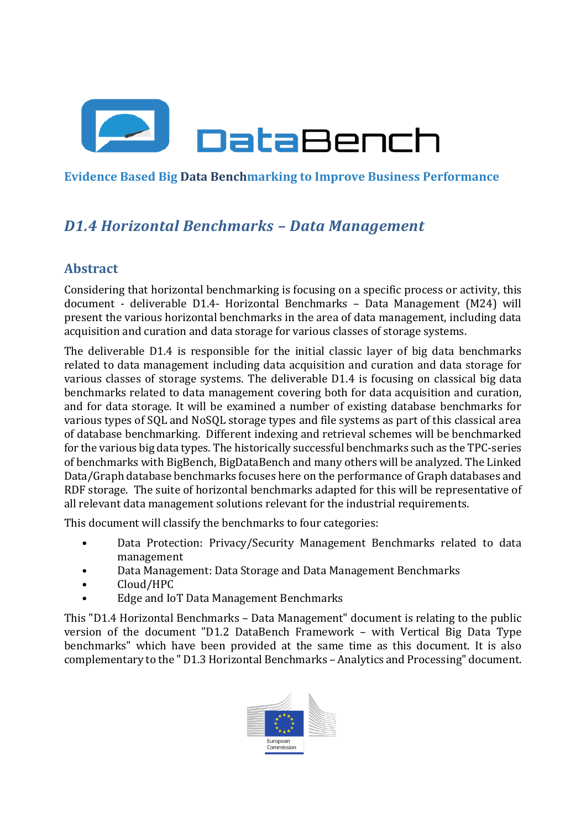

**Evidence Based Big Data Benchmarking to Improve Business Performance**

# *D1.4 Horizontal Benchmarks – Data Management*

# **Abstract**

Considering that horizontal benchmarking is focusing on a specific process or activity, this document - deliverable D1.4- Horizontal Benchmarks – Data Management (M24) will present the various horizontal benchmarks in the area of data management, including data acquisition and curation and data storage for various classes of storage systems.

The deliverable D1.4 is responsible for the initial classic layer of big data benchmarks related to data management including data acquisition and curation and data storage for various classes of storage systems. The deliverable D1.4 is focusing on classical big data benchmarks related to data management covering both for data acquisition and curation, and for data storage. It will be examined a number of existing database benchmarks for various types of SQL and NoSQL storage types and file systems as part of this classical area of database benchmarking. Different indexing and retrieval schemes will be benchmarked for the various big data types. The historically successful benchmarks such as the TPC-series of benchmarks with BigBench, BigDataBench and many others will be analyzed. The Linked Data/Graph database benchmarks focuses here on the performance of Graph databases and RDF storage. The suite of horizontal benchmarks adapted for this will be representative of all relevant data management solutions relevant for the industrial requirements.

This document will classify the benchmarks to four categories:

- Data Protection: Privacy/Security Management Benchmarks related to data management
- Data Management: Data Storage and Data Management Benchmarks
- Cloud/HPC
- Edge and IoT Data Management Benchmarks

This "D1.4 Horizontal Benchmarks – Data Management" document is relating to the public version of the document "D1.2 DataBench Framework – with Vertical Big Data Type benchmarks" which have been provided at the same time as this document. It is also complementary to the " D1.3 Horizontal Benchmarks – Analytics and Processing" document.

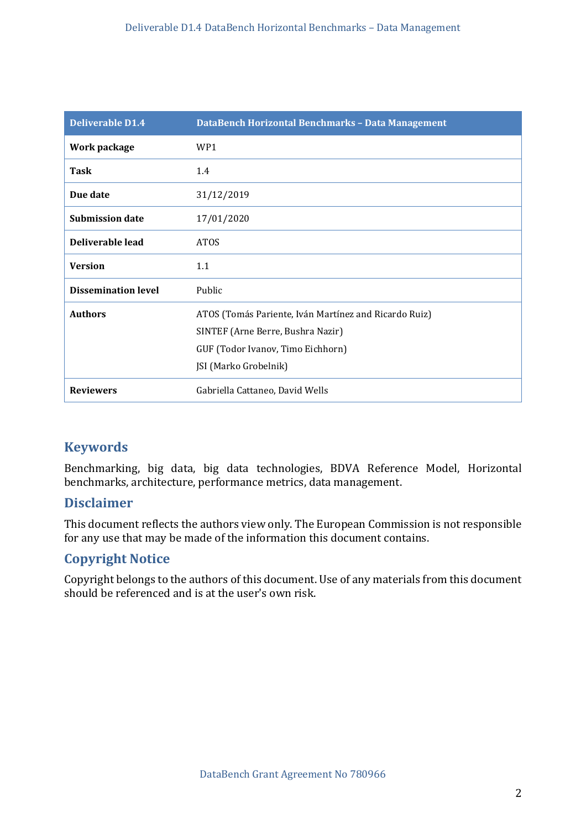| Deliverable D1.4           | DataBench Horizontal Benchmarks - Data Management     |
|----------------------------|-------------------------------------------------------|
| Work package               | WP1                                                   |
| <b>Task</b>                | 1.4                                                   |
| Due date                   | 31/12/2019                                            |
| <b>Submission date</b>     | 17/01/2020                                            |
| Deliverable lead           | <b>ATOS</b>                                           |
| <b>Version</b>             | 1.1                                                   |
| <b>Dissemination level</b> | Public                                                |
| <b>Authors</b>             | ATOS (Tomás Pariente, Iván Martínez and Ricardo Ruiz) |
|                            | SINTEF (Arne Berre, Bushra Nazir)                     |
|                            | GUF (Todor Ivanov, Timo Eichhorn)                     |
|                            | JSI (Marko Grobelnik)                                 |
| <b>Reviewers</b>           | Gabriella Cattaneo, David Wells                       |

# **Keywords**

Benchmarking, big data, big data technologies, BDVA Reference Model, Horizontal benchmarks, architecture, performance metrics, data management.

### **Disclaimer**

This document reflects the authors view only. The European Commission is not responsible for any use that may be made of the information this document contains.

### **Copyright Notice**

Copyright belongs to the authors of this document. Use of any materials from this document should be referenced and is at the user's own risk.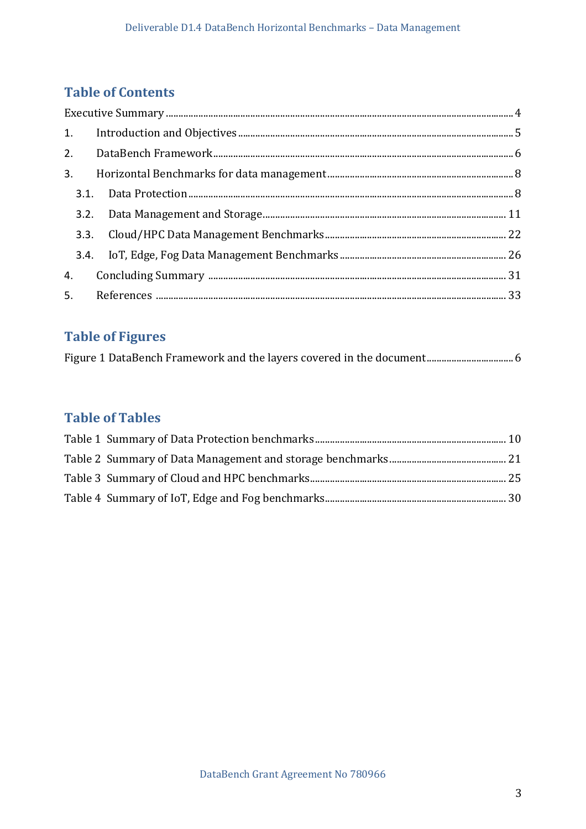# **Table of Contents**

# **Table of Figures**

|--|

# **Table of Tables**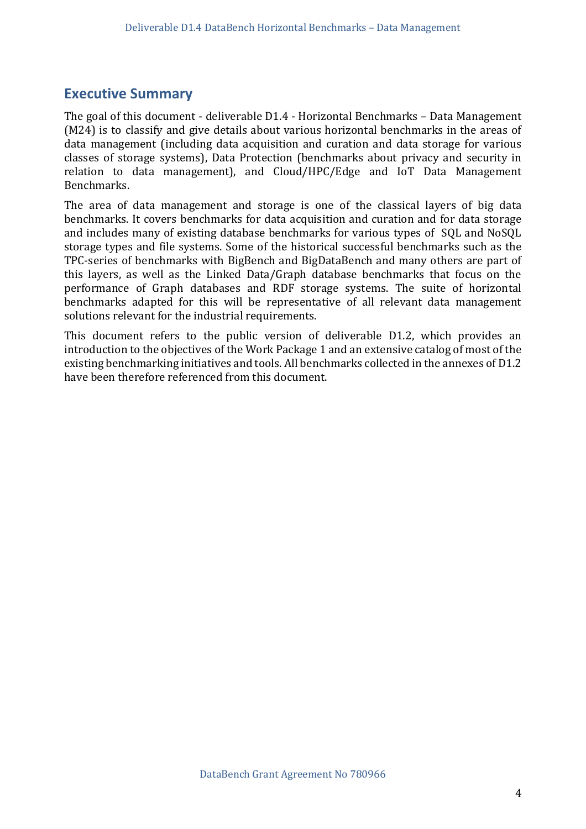# <span id="page-3-0"></span>**Executive Summary**

The goal of this document - deliverable D1.4 - Horizontal Benchmarks – Data Management (M24) is to classify and give details about various horizontal benchmarks in the areas of data management (including data acquisition and curation and data storage for various classes of storage systems), Data Protection (benchmarks about privacy and security in relation to data management), and Cloud/HPC/Edge and IoT Data Management Benchmarks.

The area of data management and storage is one of the classical layers of big data benchmarks. It covers benchmarks for data acquisition and curation and for data storage and includes many of existing database benchmarks for various types of SQL and NoSQL storage types and file systems. Some of the historical successful benchmarks such as the TPC-series of benchmarks with BigBench and BigDataBench and many others are part of this layers, as well as the Linked Data/Graph database benchmarks that focus on the performance of Graph databases and RDF storage systems. The suite of horizontal benchmarks adapted for this will be representative of all relevant data management solutions relevant for the industrial requirements.

This document refers to the public version of deliverable D1.2, which provides an introduction to the objectives of the Work Package 1 and an extensive catalog of most of the existing benchmarking initiatives and tools. All benchmarks collected in the annexes of D1.2 have been therefore referenced from this document.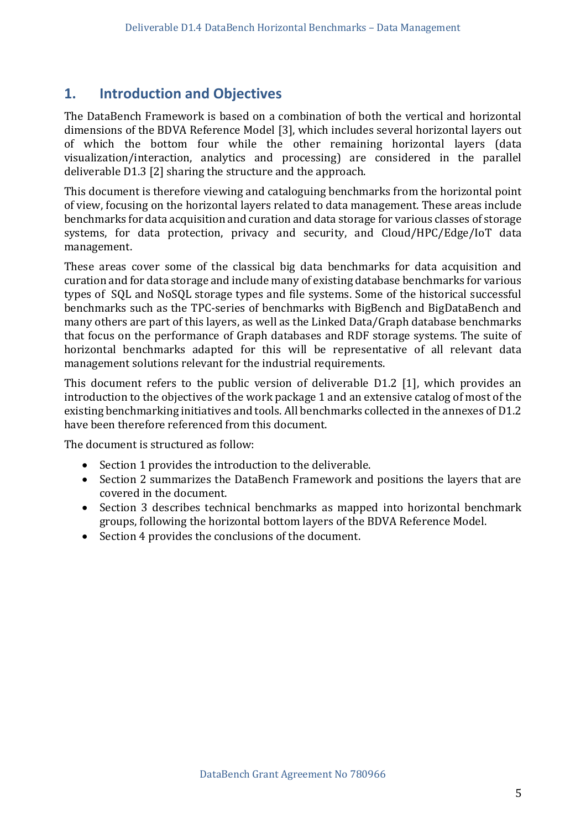### <span id="page-4-0"></span>**1. Introduction and Objectives**

The DataBench Framework is based on a combination of both the vertical and horizontal dimensions of the BDVA Reference Model [3], which includes several horizontal layers out of which the bottom four while the other remaining horizontal layers (data visualization/interaction, analytics and processing) are considered in the parallel deliverable D1.3 [2] sharing the structure and the approach.

This document is therefore viewing and cataloguing benchmarks from the horizontal point of view, focusing on the horizontal layers related to data management. These areas include benchmarks for data acquisition and curation and data storage for various classes of storage systems, for data protection, privacy and security, and Cloud/HPC/Edge/IoT data management.

These areas cover some of the classical big data benchmarks for data acquisition and curation and for data storage and include many of existing database benchmarks for various types of SQL and NoSQL storage types and file systems. Some of the historical successful benchmarks such as the TPC-series of benchmarks with BigBench and BigDataBench and many others are part of this layers, as well as the Linked Data/Graph database benchmarks that focus on the performance of Graph databases and RDF storage systems. The suite of horizontal benchmarks adapted for this will be representative of all relevant data management solutions relevant for the industrial requirements.

This document refers to the public version of deliverable D1.2 [1], which provides an introduction to the objectives of the work package 1 and an extensive catalog of most of the existing benchmarking initiatives and tools. All benchmarks collected in the annexes of D1.2 have been therefore referenced from this document.

The document is structured as follow:

- Section 1 provides the introduction to the deliverable.
- Section 2 summarizes the DataBench Framework and positions the layers that are covered in the document.
- Section 3 describes technical benchmarks as mapped into horizontal benchmark groups, following the horizontal bottom layers of the BDVA Reference Model.
- Section 4 provides the conclusions of the document.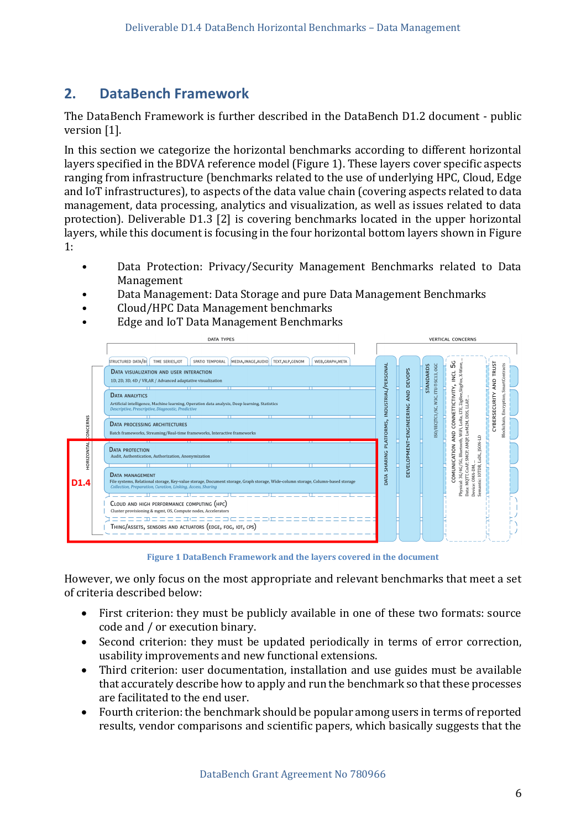# <span id="page-5-0"></span>**2. DataBench Framework**

The DataBench Framework is further described in the DataBench D1.2 document - public version [1].

In this section we categorize the horizontal benchmarks according to different horizontal layers specified in the BDVA reference model (Figure 1). These layers cover specific aspects ranging from infrastructure (benchmarks related to the use of underlying HPC, Cloud, Edge and IoT infrastructures), to aspects of the data value chain (covering aspects related to data management, data processing, analytics and visualization, as well as issues related to data protection). Deliverable D1.3 [2] is covering benchmarks located in the upper horizontal layers, while this document is focusing in the four horizontal bottom layers shown in Figure 1:

- Data Protection: Privacy/Security Management Benchmarks related to Data Management
- Data Management: Data Storage and pure Data Management Benchmarks
- Cloud/HPC Data Management benchmarks
- Edge and IoT Data Management Benchmarks



**Figure 1 DataBench Framework and the layers covered in the document**

<span id="page-5-1"></span>However, we only focus on the most appropriate and relevant benchmarks that meet a set of criteria described below:

- First criterion: they must be publicly available in one of these two formats: source code and / or execution binary.
- Second criterion: they must be updated periodically in terms of error correction, usability improvements and new functional extensions.
- Third criterion: user documentation, installation and use guides must be available that accurately describe how to apply and run the benchmark so that these processes are facilitated to the end user.
- Fourth criterion: the benchmark should be popular among users in terms of reported results, vendor comparisons and scientific papers, which basically suggests that the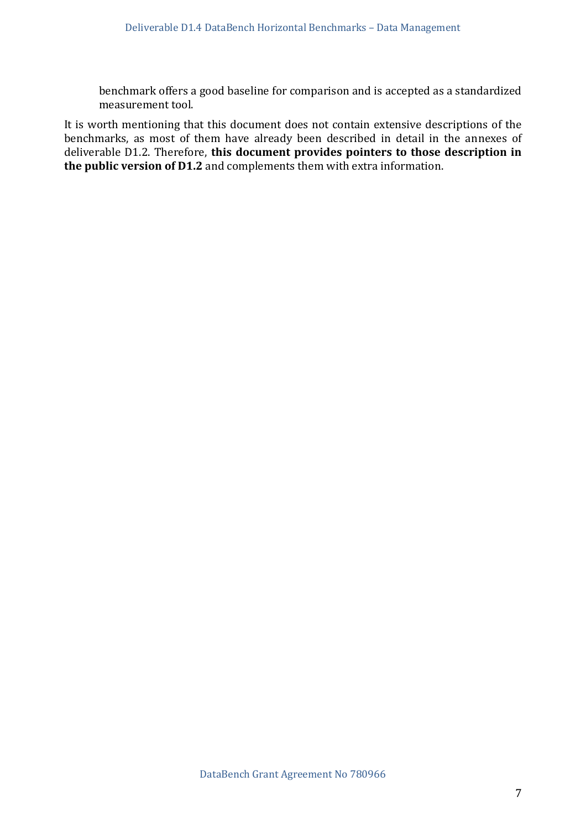benchmark offers a good baseline for comparison and is accepted as a standardized measurement tool.

It is worth mentioning that this document does not contain extensive descriptions of the benchmarks, as most of them have already been described in detail in the annexes of deliverable D1.2. Therefore, **this document provides pointers to those description in the public version of D1.2** and complements them with extra information.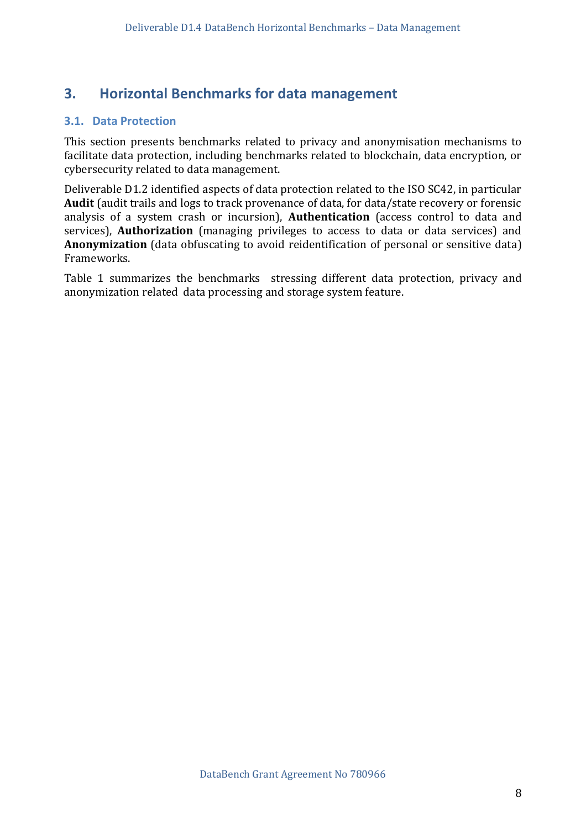# <span id="page-7-0"></span>**3. Horizontal Benchmarks for data management**

#### <span id="page-7-1"></span>**3.1. Data Protection**

This section presents benchmarks related to privacy and anonymisation mechanisms to facilitate data protection, including benchmarks related to blockchain, data encryption, or cybersecurity related to data management.

Deliverable D1.2 identified aspects of data protection related to the ISO SC42, in particular **Audit** (audit trails and logs to track provenance of data, for data/state recovery or forensic analysis of a system crash or incursion), **Authentication** (access control to data and services), **Authorization** (managing privileges to access to data or data services) and **Anonymization** (data obfuscating to avoid reidentification of personal or sensitive data) Frameworks.

Table 1 summarizes the benchmarks stressing different data protection, privacy and anonymization related data processing and storage system feature.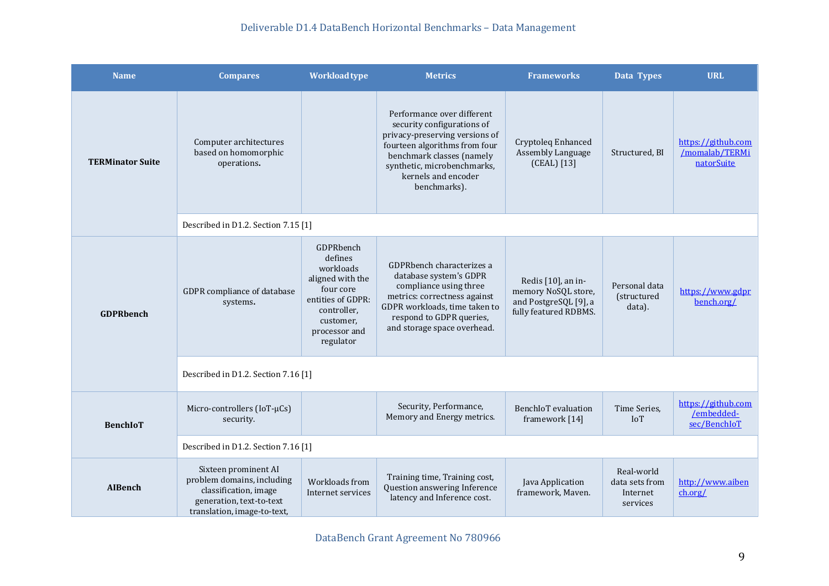### Deliverable D1.4 DataBench Horizontal Benchmarks – Data Management

| <b>Name</b>             | <b>Compares</b>                                                                                                                        | <b>Workload type</b>                                                                                                                              | <b>Metrics</b>                                                                                                                                                                                                                 | <b>Frameworks</b>                                                                           | Data Types                                           | <b>URL</b>                                         |  |  |  |
|-------------------------|----------------------------------------------------------------------------------------------------------------------------------------|---------------------------------------------------------------------------------------------------------------------------------------------------|--------------------------------------------------------------------------------------------------------------------------------------------------------------------------------------------------------------------------------|---------------------------------------------------------------------------------------------|------------------------------------------------------|----------------------------------------------------|--|--|--|
| <b>TERMinator Suite</b> | Computer architectures<br>based on homomorphic<br>operations.                                                                          |                                                                                                                                                   | Performance over different<br>security configurations of<br>privacy-preserving versions of<br>fourteen algorithms from four<br>benchmark classes (namely<br>synthetic, microbenchmarks,<br>kernels and encoder<br>benchmarks). | Cryptoleq Enhanced<br>Assembly Language<br>(CEAL) [13]                                      | Structured, BI                                       | https://github.com<br>/momalab/TERMi<br>natorSuite |  |  |  |
|                         | Described in D1.2. Section 7.15 [1]                                                                                                    |                                                                                                                                                   |                                                                                                                                                                                                                                |                                                                                             |                                                      |                                                    |  |  |  |
| <b>GDPRbench</b>        | GDPR compliance of database<br>systems.                                                                                                | GDPRbench<br>defines<br>workloads<br>aligned with the<br>four core<br>entities of GDPR:<br>controller,<br>customer,<br>processor and<br>regulator | GDPRbench characterizes a<br>database system's GDPR<br>compliance using three<br>metrics: correctness against<br>GDPR workloads, time taken to<br>respond to GDPR queries,<br>and storage space overhead.                      | Redis [10], an in-<br>memory NoSQL store,<br>and PostgreSQL [9], a<br>fully featured RDBMS. | Personal data<br>(structured<br>data).               | https://www.gdpr<br>bench.org/                     |  |  |  |
|                         | Described in D1.2. Section 7.16 [1]                                                                                                    |                                                                                                                                                   |                                                                                                                                                                                                                                |                                                                                             |                                                      |                                                    |  |  |  |
| <b>BenchIoT</b>         | Micro-controllers (IoT-µCs)<br>security.                                                                                               |                                                                                                                                                   | Security, Performance,<br>Memory and Energy metrics.                                                                                                                                                                           | <b>BenchIoT</b> evaluation<br>framework [14]                                                | Time Series,<br><b>IoT</b>                           | https://github.com<br>/embedded-<br>sec/BenchIoT   |  |  |  |
|                         | Described in D1.2. Section 7.16 [1]                                                                                                    |                                                                                                                                                   |                                                                                                                                                                                                                                |                                                                                             |                                                      |                                                    |  |  |  |
| <b>AIBench</b>          | Sixteen prominent AI<br>problem domains, including<br>classification, image<br>generation, text-to-text<br>translation, image-to-text, | Workloads from<br>Internet services                                                                                                               | Training time, Training cost,<br>Question answering Inference<br>latency and Inference cost.                                                                                                                                   | Java Application<br>framework, Maven.                                                       | Real-world<br>data sets from<br>Internet<br>services | http://www.aiben<br>ch.org/                        |  |  |  |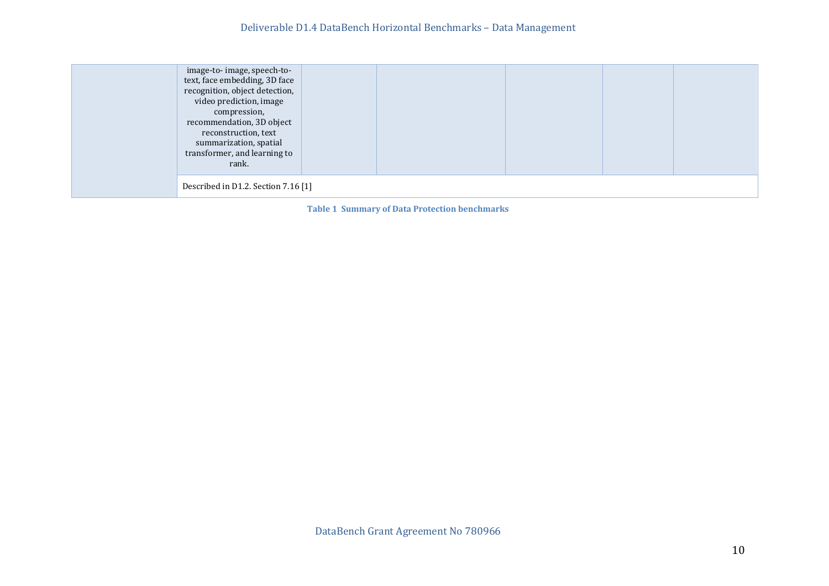| image-to-image, speech-to-<br>text, face embedding, 3D face<br>recognition, object detection,<br>video prediction, image<br>compression,<br>recommendation, 3D object<br>reconstruction, text<br>summarization, spatial<br>transformer, and learning to<br>rank. |  |  |  |  |  |  |  |
|------------------------------------------------------------------------------------------------------------------------------------------------------------------------------------------------------------------------------------------------------------------|--|--|--|--|--|--|--|
| Described in D1.2. Section 7.16 [1]                                                                                                                                                                                                                              |  |  |  |  |  |  |  |

<span id="page-9-0"></span>**Table 1 Summary of Data Protection benchmarks**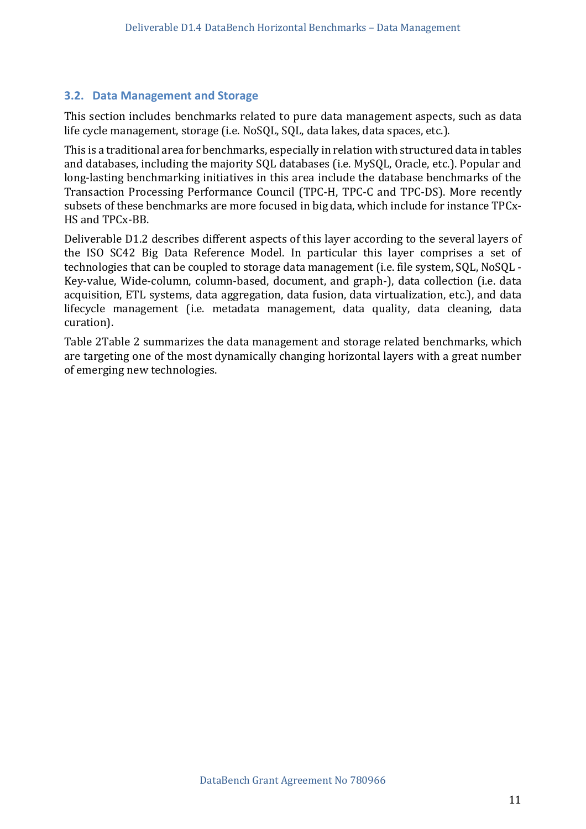#### <span id="page-10-0"></span>**3.2. Data Management and Storage**

This section includes benchmarks related to pure data management aspects, such as data life cycle management, storage (i.e. NoSQL, SQL, data lakes, data spaces, etc.).

This is a traditional area for benchmarks, especially in relation with structured data in tables and databases, including the majority SQL databases (i.e. MySQL, Oracle, etc.). Popular and long-lasting benchmarking initiatives in this area include the database benchmarks of the Transaction Processing Performance Council (TPC-H, TPC-C and TPC-DS). More recently subsets of these benchmarks are more focused in big data, which include for instance TPCx-HS and TPCx-BB.

Deliverable D1.2 describes different aspects of this layer according to the several layers of the ISO SC42 Big Data Reference Model. In particular this layer comprises a set of technologies that can be coupled to storage data management (i.e. file system, SQL, NoSQL - Key-value, Wide-column, column-based, document, and graph-), data collection (i.e. data acquisition, ETL systems, data aggregation, data fusion, data virtualization, etc.), and data lifecycle management (i.e. metadata management, data quality, data cleaning, data curation).

[Table 2T](#page-20-0)able 2 summarizes the data management and storage related benchmarks, which are targeting one of the most dynamically changing horizontal layers with a great number of emerging new technologies.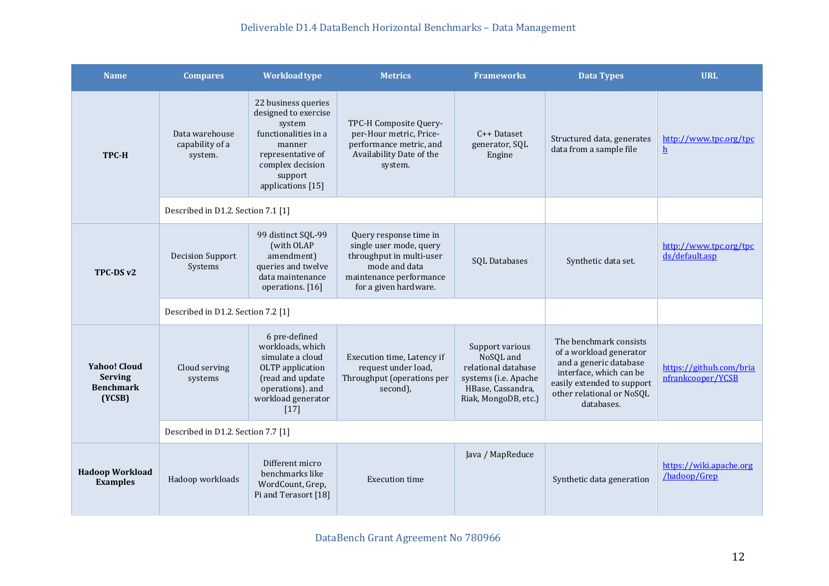### Deliverable D1.4 DataBench Horizontal Benchmarks – Data Management

| <b>Name</b>                                                         | <b>Compares</b>                              | <b>Workload type</b>                                                                                                                                             | <b>Metrics</b>                                                                                                                                     | <b>Frameworks</b>                                                                                                        | <b>Data Types</b>                                                                                                                                                               | <b>URL</b>                                   |  |  |
|---------------------------------------------------------------------|----------------------------------------------|------------------------------------------------------------------------------------------------------------------------------------------------------------------|----------------------------------------------------------------------------------------------------------------------------------------------------|--------------------------------------------------------------------------------------------------------------------------|---------------------------------------------------------------------------------------------------------------------------------------------------------------------------------|----------------------------------------------|--|--|
| <b>TPC-H</b>                                                        | Data warehouse<br>capability of a<br>system. | 22 business queries<br>designed to exercise<br>system<br>functionalities in a<br>manner<br>representative of<br>complex decision<br>support<br>applications [15] | TPC-H Composite Query-<br>per-Hour metric, Price-<br>performance metric, and<br>Availability Date of the<br>system.                                | $C++$ Dataset<br>generator, SQL<br>Engine                                                                                | Structured data, generates<br>data from a sample file                                                                                                                           | http://www.tpc.org/tpc<br>h                  |  |  |
|                                                                     | Described in D1.2. Section 7.1 [1]           |                                                                                                                                                                  |                                                                                                                                                    |                                                                                                                          |                                                                                                                                                                                 |                                              |  |  |
| TPC-DS v2                                                           | <b>Decision Support</b><br>Systems           | 99 distinct SQL-99<br>(with OLAP<br>amendment)<br>queries and twelve<br>data maintenance<br>operations. [16]                                                     | Query response time in<br>single user mode, query<br>throughput in multi-user<br>mode and data<br>maintenance performance<br>for a given hardware. | SQL Databases                                                                                                            | Synthetic data set.                                                                                                                                                             | http://www.tpc.org/tpc<br>ds/default.asp     |  |  |
|                                                                     | Described in D1.2. Section 7.2 [1]           |                                                                                                                                                                  |                                                                                                                                                    |                                                                                                                          |                                                                                                                                                                                 |                                              |  |  |
| <b>Yahoo! Cloud</b><br><b>Serving</b><br><b>Benchmark</b><br>(YCSB) | Cloud serving<br>systems                     | 6 pre-defined<br>workloads, which<br>simulate a cloud<br>OLTP application<br>(read and update<br>operations). and<br>workload generator<br>$[17]$                | Execution time, Latency if<br>request under load,<br>Throughput (operations per<br>second),                                                        | Support various<br>NoSQL and<br>relational database<br>systems (i.e. Apache<br>HBase, Cassandra,<br>Riak, MongoDB, etc.) | The benchmark consists<br>of a workload generator<br>and a generic database<br>interface, which can be<br>easily extended to support<br>other relational or NoSQL<br>databases. | https://github.com/bria<br>nfrankcooper/YCSB |  |  |
|                                                                     |                                              | Described in D1.2. Section 7.7 [1]                                                                                                                               |                                                                                                                                                    |                                                                                                                          |                                                                                                                                                                                 |                                              |  |  |
| <b>Hadoop Workload</b><br><b>Examples</b>                           | Hadoop workloads                             | Different micro<br>benchmarks like<br>WordCount, Grep,<br>Pi and Terasort [18]                                                                                   | <b>Execution time</b>                                                                                                                              | Java / MapReduce                                                                                                         | Synthetic data generation                                                                                                                                                       | https://wiki.apache.org<br>/hadoop/Grep      |  |  |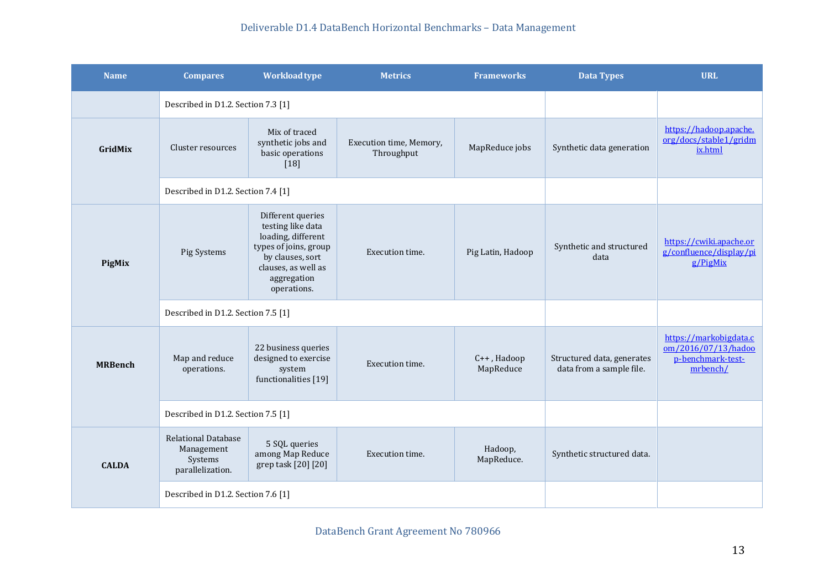| <b>Name</b>    | <b>Compares</b>                                                         | Workload type                                                                                                                                                  | <b>Metrics</b>                        | <b>Frameworks</b>        | <b>Data Types</b>                                      | <b>URL</b>                                                                     |  |
|----------------|-------------------------------------------------------------------------|----------------------------------------------------------------------------------------------------------------------------------------------------------------|---------------------------------------|--------------------------|--------------------------------------------------------|--------------------------------------------------------------------------------|--|
|                | Described in D1.2. Section 7.3 [1]                                      |                                                                                                                                                                |                                       |                          |                                                        |                                                                                |  |
| GridMix        | Cluster resources                                                       | Mix of traced<br>synthetic jobs and<br>basic operations<br>$[18]$                                                                                              | Execution time, Memory,<br>Throughput | MapReduce jobs           | Synthetic data generation                              | https://hadoop.apache.<br>org/docs/stable1/gridm<br>ix.html                    |  |
|                | Described in D1.2. Section 7.4 [1]                                      |                                                                                                                                                                |                                       |                          |                                                        |                                                                                |  |
| PigMix         | Pig Systems                                                             | Different queries<br>testing like data<br>loading, different<br>types of joins, group<br>by clauses, sort<br>clauses, as well as<br>aggregation<br>operations. | Execution time.                       | Pig Latin, Hadoop        | Synthetic and structured<br>data                       | https://cwiki.apache.or<br>g/confluence/display/pi<br>g/PigMix                 |  |
|                | Described in D1.2. Section 7.5 [1]                                      |                                                                                                                                                                |                                       |                          |                                                        |                                                                                |  |
| <b>MRBench</b> | Map and reduce<br>operations.                                           | 22 business queries<br>designed to exercise<br>system<br>functionalities [19]                                                                                  | Execution time.                       | C++, Hadoop<br>MapReduce | Structured data, generates<br>data from a sample file. | https://markobigdata.c<br>om/2016/07/13/hadoo<br>p-benchmark-test-<br>mrbench/ |  |
|                | Described in D1.2. Section 7.5 [1]                                      |                                                                                                                                                                |                                       |                          |                                                        |                                                                                |  |
| <b>CALDA</b>   | <b>Relational Database</b><br>Management<br>Systems<br>parallelization. | 5 SQL queries<br>among Map Reduce<br>grep task [20] [20]                                                                                                       | Execution time.                       | Hadoop,<br>MapReduce.    | Synthetic structured data.                             |                                                                                |  |
|                | Described in D1.2. Section 7.6 [1]                                      |                                                                                                                                                                |                                       |                          |                                                        |                                                                                |  |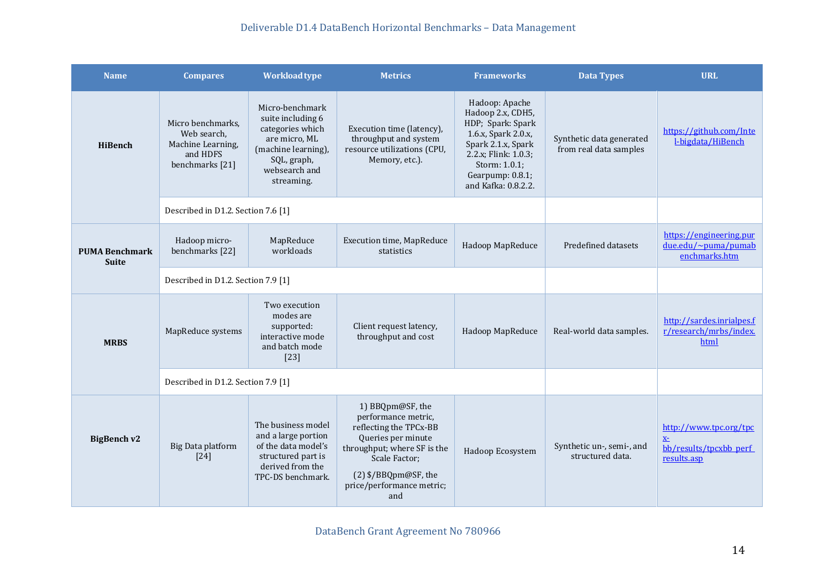### Deliverable D1.4 DataBench Horizontal Benchmarks – Data Management

| <b>Name</b>                           | <b>Compares</b>                                                                      | <b>Workload type</b>                                                                                                                           | <b>Metrics</b>                                                                                                                                                                                      | <b>Frameworks</b>                                                                                                                                                                         | <b>Data Types</b>                                  | <b>URL</b>                                                              |
|---------------------------------------|--------------------------------------------------------------------------------------|------------------------------------------------------------------------------------------------------------------------------------------------|-----------------------------------------------------------------------------------------------------------------------------------------------------------------------------------------------------|-------------------------------------------------------------------------------------------------------------------------------------------------------------------------------------------|----------------------------------------------------|-------------------------------------------------------------------------|
| HiBench                               | Micro benchmarks,<br>Web search,<br>Machine Learning,<br>and HDFS<br>benchmarks [21] | Micro-benchmark<br>suite including 6<br>categories which<br>are micro, ML<br>(machine learning),<br>SQL, graph,<br>websearch and<br>streaming. | Execution time (latency),<br>throughput and system<br>resource utilizations (CPU,<br>Memory, etc.).                                                                                                 | Hadoop: Apache<br>Hadoop 2.x, CDH5,<br>HDP; Spark: Spark<br>1.6.x, Spark 2.0.x,<br>Spark 2.1.x, Spark<br>2.2.x; Flink: 1.0.3;<br>Storm: 1.0.1;<br>Gearpump: 0.8.1;<br>and Kafka: 0.8.2.2. | Synthetic data generated<br>from real data samples | https://github.com/Inte<br>l-bigdata/HiBench                            |
|                                       | Described in D1.2. Section 7.6 [1]                                                   |                                                                                                                                                |                                                                                                                                                                                                     |                                                                                                                                                                                           |                                                    |                                                                         |
| <b>PUMA Benchmark</b><br><b>Suite</b> | Hadoop micro-<br>benchmarks [22]                                                     | MapReduce<br>workloads                                                                                                                         | <b>Execution time, MapReduce</b><br>statistics                                                                                                                                                      | Hadoop MapReduce                                                                                                                                                                          | Predefined datasets                                | https://engineering.pur<br>due.edu/~puma/pumab<br>enchmarks.htm         |
|                                       | Described in D1.2. Section 7.9 [1]                                                   |                                                                                                                                                |                                                                                                                                                                                                     |                                                                                                                                                                                           |                                                    |                                                                         |
| <b>MRBS</b>                           | MapReduce systems                                                                    | Two execution<br>modes are<br>supported:<br>interactive mode<br>and batch mode<br>$[23]$                                                       | Client request latency,<br>throughput and cost                                                                                                                                                      | Hadoop MapReduce                                                                                                                                                                          | Real-world data samples.                           | http://sardes.inrialpes.f<br>r/research/mrbs/index.<br>html             |
|                                       | Described in D1.2. Section 7.9 [1]                                                   |                                                                                                                                                |                                                                                                                                                                                                     |                                                                                                                                                                                           |                                                    |                                                                         |
| <b>BigBench v2</b>                    | Big Data platform<br>$[24]$                                                          | The business model<br>and a large portion<br>of the data model's<br>structured part is<br>derived from the<br>TPC-DS benchmark.                | 1) BBQpm@SF, the<br>performance metric,<br>reflecting the TPCx-BB<br>Queries per minute<br>throughput; where SF is the<br>Scale Factor;<br>(2) \$/BBQpm@SF, the<br>price/performance metric;<br>and | Hadoop Ecosystem                                                                                                                                                                          | Synthetic un-, semi-, and<br>structured data.      | http://www.tpc.org/tpc<br>$X-$<br>bb/results/tpcxbb perf<br>results.asp |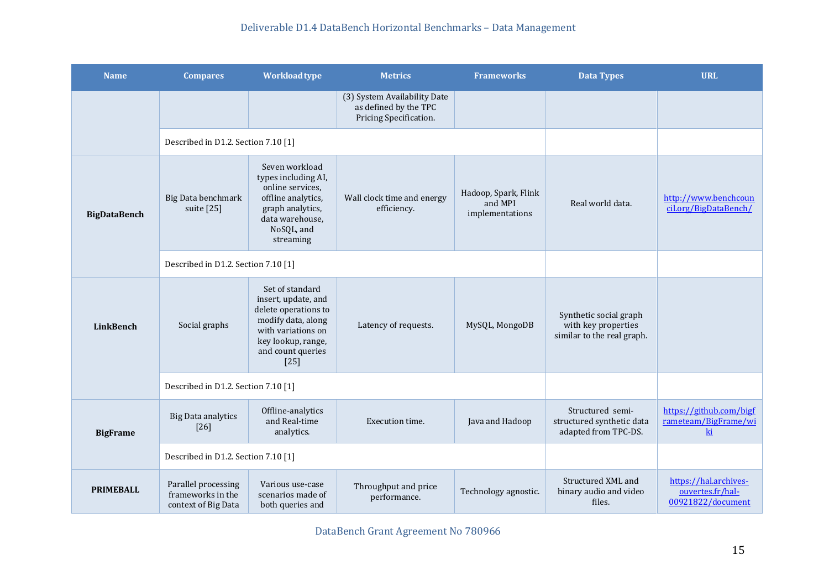| <b>Name</b>         | <b>Compares</b>                                                 | Workload type                                                                                                                                                   | <b>Metrics</b>                                                                  | <b>Frameworks</b>                                  | <b>Data Types</b>                                                           | <b>URL</b>                                                                   |
|---------------------|-----------------------------------------------------------------|-----------------------------------------------------------------------------------------------------------------------------------------------------------------|---------------------------------------------------------------------------------|----------------------------------------------------|-----------------------------------------------------------------------------|------------------------------------------------------------------------------|
|                     |                                                                 |                                                                                                                                                                 | (3) System Availability Date<br>as defined by the TPC<br>Pricing Specification. |                                                    |                                                                             |                                                                              |
|                     | Described in D1.2. Section 7.10 [1]                             |                                                                                                                                                                 |                                                                                 |                                                    |                                                                             |                                                                              |
| <b>BigDataBench</b> | Big Data benchmark<br>suite [25]                                | Seven workload<br>types including AI,<br>online services,<br>offline analytics,<br>graph analytics,<br>data warehouse,<br>NoSQL, and<br>streaming               | Wall clock time and energy<br>efficiency.                                       | Hadoop, Spark, Flink<br>and MPI<br>implementations | Real world data.                                                            | http://www.benchcoun<br>cil.org/BigDataBench/                                |
|                     | Described in D1.2. Section 7.10 [1]                             |                                                                                                                                                                 |                                                                                 |                                                    |                                                                             |                                                                              |
| LinkBench           | Social graphs                                                   | Set of standard<br>insert, update, and<br>delete operations to<br>modify data, along<br>with variations on<br>key lookup, range,<br>and count queries<br>$[25]$ | Latency of requests.                                                            | MySQL, MongoDB                                     | Synthetic social graph<br>with key properties<br>similar to the real graph. |                                                                              |
|                     | Described in D1.2. Section 7.10 [1]                             |                                                                                                                                                                 |                                                                                 |                                                    |                                                                             |                                                                              |
| <b>BigFrame</b>     | <b>Big Data analytics</b><br>$[26]$                             | Offline-analytics<br>and Real-time<br>analytics.                                                                                                                | Execution time.                                                                 | Java and Hadoop                                    | Structured semi-<br>structured synthetic data<br>adapted from TPC-DS.       | https://github.com/bigf<br>rameteam/BigFrame/wi<br>$\underline{\mathrm{ki}}$ |
|                     | Described in D1.2. Section 7.10 [1]                             |                                                                                                                                                                 |                                                                                 |                                                    |                                                                             |                                                                              |
| <b>PRIMEBALL</b>    | Parallel processing<br>frameworks in the<br>context of Big Data | Various use-case<br>scenarios made of<br>both queries and                                                                                                       | Throughput and price<br>performance.                                            | Technology agnostic.                               | Structured XML and<br>binary audio and video<br>files.                      | https://hal.archives-<br>ouvertes.fr/hal-<br>00921822/document               |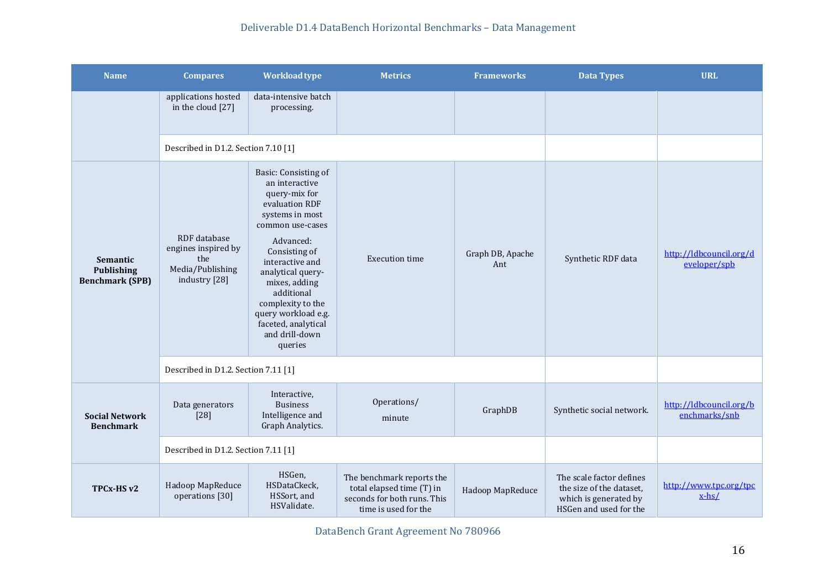| <b>Name</b>                                      | <b>Compares</b>                                                                 | Workload type                                                                                                                                                                                                                                                                                                         | <b>Metrics</b>                                                                                                | <b>Frameworks</b>       | <b>Data Types</b>                                                                                       | <b>URL</b>                               |
|--------------------------------------------------|---------------------------------------------------------------------------------|-----------------------------------------------------------------------------------------------------------------------------------------------------------------------------------------------------------------------------------------------------------------------------------------------------------------------|---------------------------------------------------------------------------------------------------------------|-------------------------|---------------------------------------------------------------------------------------------------------|------------------------------------------|
|                                                  | applications hosted<br>in the cloud [27]                                        | data-intensive batch<br>processing.                                                                                                                                                                                                                                                                                   |                                                                                                               |                         |                                                                                                         |                                          |
|                                                  | Described in D1.2. Section 7.10 [1]                                             |                                                                                                                                                                                                                                                                                                                       |                                                                                                               |                         |                                                                                                         |                                          |
| Semantic<br>Publishing<br><b>Benchmark (SPB)</b> | RDF database<br>engines inspired by<br>the<br>Media/Publishing<br>industry [28] | Basic: Consisting of<br>an interactive<br>query-mix for<br>evaluation RDF<br>systems in most<br>common use-cases<br>Advanced:<br>Consisting of<br>interactive and<br>analytical query-<br>mixes, adding<br>additional<br>complexity to the<br>query workload e.g.<br>faceted, analytical<br>and drill-down<br>queries | <b>Execution time</b>                                                                                         | Graph DB, Apache<br>Ant | Synthetic RDF data                                                                                      | http://ldbcouncil.org/d<br>eveloper/spb  |
|                                                  | Described in D1.2. Section 7.11 [1]                                             |                                                                                                                                                                                                                                                                                                                       |                                                                                                               |                         |                                                                                                         |                                          |
| <b>Social Network</b><br><b>Benchmark</b>        | Data generators<br>$[28]$                                                       | Interactive,<br><b>Business</b><br>Intelligence and<br>Graph Analytics.                                                                                                                                                                                                                                               | Operations/<br>minute                                                                                         | GraphDB                 | Synthetic social network.                                                                               | http://ldbcouncil.org/b<br>enchmarks/snb |
|                                                  | Described in D1.2. Section 7.11 [1]                                             |                                                                                                                                                                                                                                                                                                                       |                                                                                                               |                         |                                                                                                         |                                          |
| TPCx-HS v2                                       | Hadoop MapReduce<br>operations [30]                                             | HSGen,<br>HSDataCkeck,<br>HSSort, and<br>HSValidate.                                                                                                                                                                                                                                                                  | The benchmark reports the<br>total elapsed time (T) in<br>seconds for both runs. This<br>time is used for the | Hadoop MapReduce        | The scale factor defines<br>the size of the dataset,<br>which is generated by<br>HSGen and used for the | http://www.tpc.org/tpc<br>$x-hs/$        |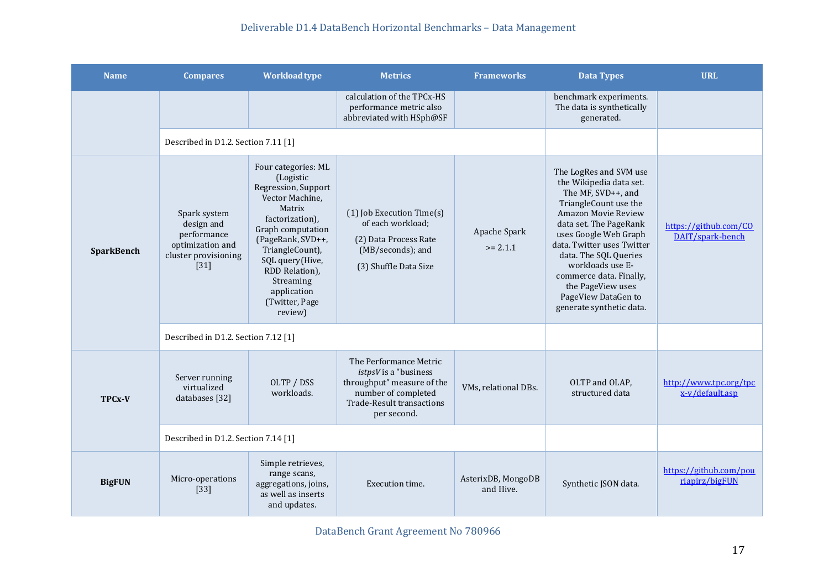| <b>Name</b>   | <b>Compares</b>                                                                                 | <b>Workload type</b>                                                                                                                                                                                                                                               | <b>Metrics</b>                                                                                                                                          | <b>Frameworks</b>               | <b>Data Types</b>                                                                                                                                                                                                                                                                                                                                        | <b>URL</b>                                |
|---------------|-------------------------------------------------------------------------------------------------|--------------------------------------------------------------------------------------------------------------------------------------------------------------------------------------------------------------------------------------------------------------------|---------------------------------------------------------------------------------------------------------------------------------------------------------|---------------------------------|----------------------------------------------------------------------------------------------------------------------------------------------------------------------------------------------------------------------------------------------------------------------------------------------------------------------------------------------------------|-------------------------------------------|
|               |                                                                                                 |                                                                                                                                                                                                                                                                    | calculation of the TPCx-HS<br>performance metric also<br>abbreviated with HSph@SF                                                                       |                                 | benchmark experiments.<br>The data is synthetically<br>generated.                                                                                                                                                                                                                                                                                        |                                           |
|               | Described in D1.2. Section 7.11 [1]                                                             |                                                                                                                                                                                                                                                                    |                                                                                                                                                         |                                 |                                                                                                                                                                                                                                                                                                                                                          |                                           |
| SparkBench    | Spark system<br>design and<br>performance<br>optimization and<br>cluster provisioning<br>$[31]$ | Four categories: ML<br>(Logistic<br>Regression, Support<br>Vector Machine,<br>Matrix<br>factorization),<br>Graph computation<br>(PageRank, SVD++,<br>TriangleCount),<br>SQL query(Hive,<br>RDD Relation),<br>Streaming<br>application<br>(Twitter, Page<br>review) | (1) Job Execution Time(s)<br>of each workload;<br>(2) Data Process Rate<br>(MB/seconds); and<br>(3) Shuffle Data Size                                   | Apache Spark<br>$>= 2.1.1$      | The LogRes and SVM use<br>the Wikipedia data set.<br>The MF, SVD++, and<br>TriangleCount use the<br>Amazon Movie Review<br>data set. The PageRank<br>uses Google Web Graph<br>data. Twitter uses Twitter<br>data. The SQL Queries<br>workloads use E-<br>commerce data. Finally,<br>the PageView uses<br>PageView DataGen to<br>generate synthetic data. | https://github.com/CO<br>DAIT/spark-bench |
|               | Described in D1.2. Section 7.12 [1]                                                             |                                                                                                                                                                                                                                                                    |                                                                                                                                                         |                                 |                                                                                                                                                                                                                                                                                                                                                          |                                           |
| TPCx-V        | Server running<br>virtualized<br>databases [32]                                                 | OLTP / DSS<br>workloads.                                                                                                                                                                                                                                           | The Performance Metric<br>istpsV is a "business<br>throughput" measure of the<br>number of completed<br><b>Trade-Result transactions</b><br>per second. | VMs, relational DBs.            | OLTP and OLAP,<br>structured data                                                                                                                                                                                                                                                                                                                        | http://www.tpc.org/tpc<br>x-v/default.asp |
|               | Described in D1.2. Section 7.14 [1]                                                             |                                                                                                                                                                                                                                                                    |                                                                                                                                                         |                                 |                                                                                                                                                                                                                                                                                                                                                          |                                           |
| <b>BigFUN</b> | Micro-operations<br>$[33]$                                                                      | Simple retrieves,<br>range scans,<br>aggregations, joins,<br>as well as inserts<br>and updates.                                                                                                                                                                    | Execution time.                                                                                                                                         | AsterixDB, MongoDB<br>and Hive. | Synthetic JSON data.                                                                                                                                                                                                                                                                                                                                     | https://github.com/pou<br>riapirz/bigFUN  |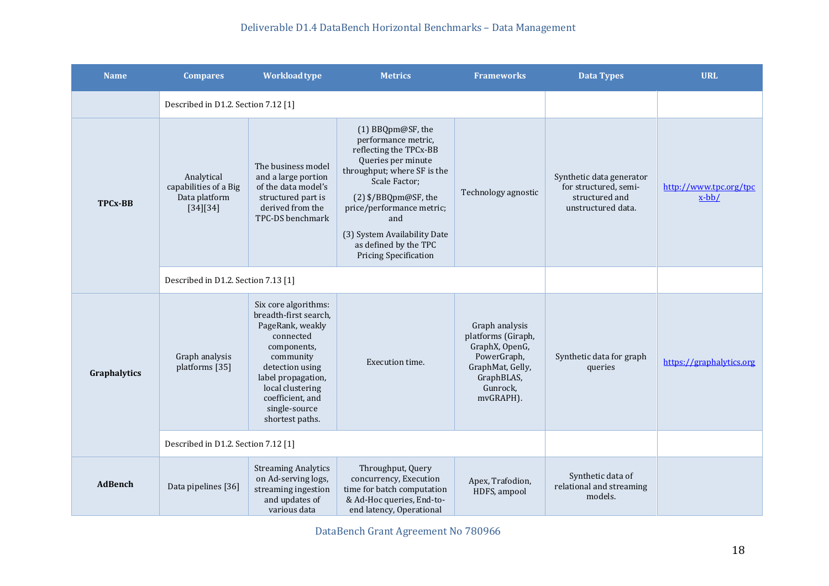| <b>Name</b>    | <b>Compares</b>                                                  | Workload type                                                                                                                                                                                                                   | <b>Metrics</b>                                                                                                                                                                                                                                                                                | <b>Frameworks</b>                                                                                                                | Data Types                                                                                | <b>URL</b>                         |
|----------------|------------------------------------------------------------------|---------------------------------------------------------------------------------------------------------------------------------------------------------------------------------------------------------------------------------|-----------------------------------------------------------------------------------------------------------------------------------------------------------------------------------------------------------------------------------------------------------------------------------------------|----------------------------------------------------------------------------------------------------------------------------------|-------------------------------------------------------------------------------------------|------------------------------------|
|                | Described in D1.2. Section 7.12 [1]                              |                                                                                                                                                                                                                                 |                                                                                                                                                                                                                                                                                               |                                                                                                                                  |                                                                                           |                                    |
| <b>TPCx-BB</b> | Analytical<br>capabilities of a Big<br>Data platform<br>[34][34] | The business model<br>and a large portion<br>of the data model's<br>structured part is<br>derived from the<br>TPC-DS benchmark                                                                                                  | (1) BBQpm@SF, the<br>performance metric,<br>reflecting the TPCx-BB<br>Queries per minute<br>throughput; where SF is the<br>Scale Factor;<br>(2) \$/BBQpm@SF, the<br>price/performance metric;<br>and<br>(3) System Availability Date<br>as defined by the TPC<br><b>Pricing Specification</b> | Technology agnostic                                                                                                              | Synthetic data generator<br>for structured, semi-<br>structured and<br>unstructured data. | http://www.tpc.org/tpc<br>$x$ -bb/ |
|                | Described in D1.2. Section 7.13 [1]                              |                                                                                                                                                                                                                                 |                                                                                                                                                                                                                                                                                               |                                                                                                                                  |                                                                                           |                                    |
| Graphalytics   | Graph analysis<br>platforms [35]                                 | Six core algorithms:<br>breadth-first search,<br>PageRank, weakly<br>connected<br>components,<br>community<br>detection using<br>label propagation,<br>local clustering<br>coefficient, and<br>single-source<br>shortest paths. | Execution time.                                                                                                                                                                                                                                                                               | Graph analysis<br>platforms (Giraph,<br>GraphX, OpenG,<br>PowerGraph,<br>GraphMat, Gelly,<br>GraphBLAS,<br>Gunrock,<br>mvGRAPH). | Synthetic data for graph<br>queries                                                       | https://graphalytics.org           |
|                | Described in D1.2. Section 7.12 [1]                              |                                                                                                                                                                                                                                 |                                                                                                                                                                                                                                                                                               |                                                                                                                                  |                                                                                           |                                    |
| <b>AdBench</b> | Data pipelines [36]                                              | <b>Streaming Analytics</b><br>on Ad-serving logs,<br>streaming ingestion<br>and updates of<br>various data                                                                                                                      | Throughput, Query<br>concurrency, Execution<br>time for batch computation<br>& Ad-Hoc queries, End-to-<br>end latency, Operational                                                                                                                                                            | Apex, Trafodion,<br>HDFS, ampool                                                                                                 | Synthetic data of<br>relational and streaming<br>models.                                  |                                    |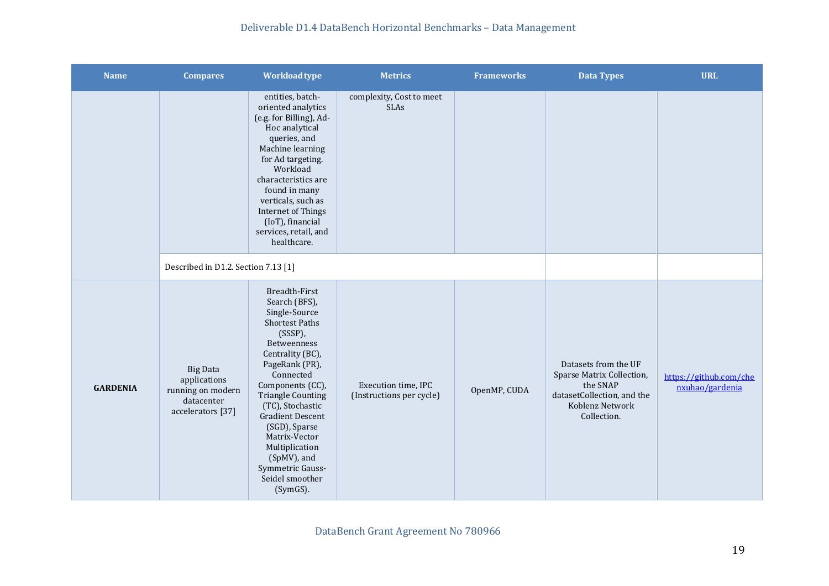| <b>Name</b>     | <b>Compares</b>                                                                         | Workload type                                                                                                                                                                                                                                                                                                                                                                        | <b>Metrics</b>                                  | <b>Frameworks</b> | <b>Data Types</b>                                                                                                             | <b>URL</b>                                |
|-----------------|-----------------------------------------------------------------------------------------|--------------------------------------------------------------------------------------------------------------------------------------------------------------------------------------------------------------------------------------------------------------------------------------------------------------------------------------------------------------------------------------|-------------------------------------------------|-------------------|-------------------------------------------------------------------------------------------------------------------------------|-------------------------------------------|
|                 |                                                                                         | entities, batch-<br>oriented analytics<br>(e.g. for Billing), Ad-<br>Hoc analytical<br>queries, and<br>Machine learning<br>for Ad targeting.<br>Workload<br>characteristics are<br>found in many<br>verticals, such as<br>Internet of Things<br>(IoT), financial<br>services, retail, and<br>healthcare.                                                                             | complexity, Cost to meet<br>SLAs                |                   |                                                                                                                               |                                           |
|                 | Described in D1.2. Section 7.13 [1]                                                     |                                                                                                                                                                                                                                                                                                                                                                                      |                                                 |                   |                                                                                                                               |                                           |
| <b>GARDENIA</b> | <b>Big Data</b><br>applications<br>running on modern<br>datacenter<br>accelerators [37] | <b>Breadth-First</b><br>Search (BFS),<br>Single-Source<br><b>Shortest Paths</b><br>$(SSSP)$ ,<br>Betweenness<br>Centrality (BC),<br>PageRank (PR),<br>Connected<br>Components (CC),<br><b>Triangle Counting</b><br>(TC), Stochastic<br><b>Gradient Descent</b><br>(SGD), Sparse<br>Matrix-Vector<br>Multiplication<br>(SpMV), and<br>Symmetric Gauss-<br>Seidel smoother<br>(SymGS). | Execution time, IPC<br>(Instructions per cycle) | OpenMP, CUDA      | Datasets from the UF<br>Sparse Matrix Collection,<br>the SNAP<br>datasetCollection, and the<br>Koblenz Network<br>Collection. | https://github.com/che<br>nxuhao/gardenia |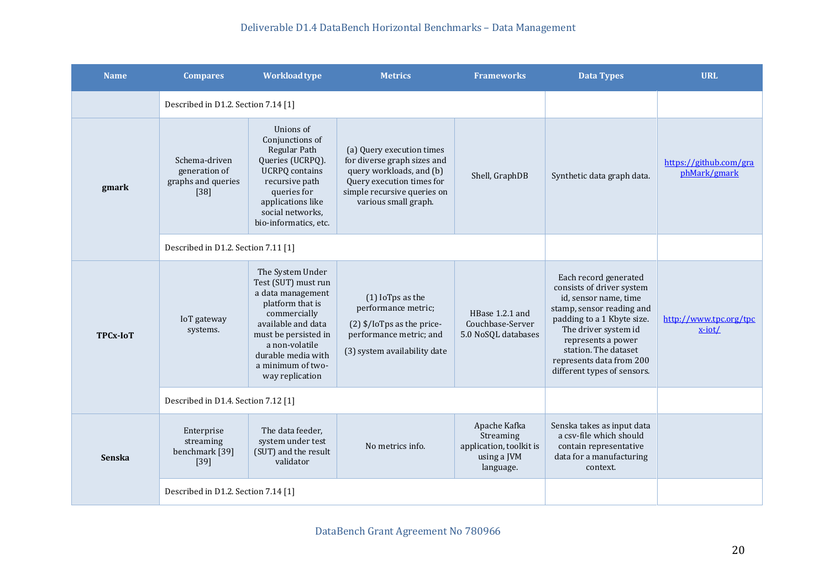| <b>Name</b>     | <b>Compares</b>                                                                                                                                                                                                                                                | <b>Workload type</b>                                                                                                                                                                                                           | <b>Metrics</b>                                                                                                                                                           | <b>Frameworks</b>                                                                | <b>Data Types</b>                                                                                                                                                                                                                                                       | <b>URL</b>                             |
|-----------------|----------------------------------------------------------------------------------------------------------------------------------------------------------------------------------------------------------------------------------------------------------------|--------------------------------------------------------------------------------------------------------------------------------------------------------------------------------------------------------------------------------|--------------------------------------------------------------------------------------------------------------------------------------------------------------------------|----------------------------------------------------------------------------------|-------------------------------------------------------------------------------------------------------------------------------------------------------------------------------------------------------------------------------------------------------------------------|----------------------------------------|
|                 | Described in D1.2. Section 7.14 [1]                                                                                                                                                                                                                            |                                                                                                                                                                                                                                |                                                                                                                                                                          |                                                                                  |                                                                                                                                                                                                                                                                         |                                        |
| gmark           | Unions of<br>Conjunctions of<br>Regular Path<br>Schema-driven<br>Queries (UCRPQ).<br>generation of<br><b>UCRPQ</b> contains<br>graphs and queries<br>recursive path<br>$[38]$<br>queries for<br>applications like<br>social networks,<br>bio-informatics, etc. |                                                                                                                                                                                                                                | (a) Query execution times<br>for diverse graph sizes and<br>query workloads, and (b)<br>Query execution times for<br>simple recursive queries on<br>various small graph. | Shell, GraphDB                                                                   | Synthetic data graph data.                                                                                                                                                                                                                                              | https://github.com/gra<br>phMark/gmark |
|                 | Described in D1.2. Section 7.11 [1]                                                                                                                                                                                                                            |                                                                                                                                                                                                                                |                                                                                                                                                                          |                                                                                  |                                                                                                                                                                                                                                                                         |                                        |
| <b>TPCx-IoT</b> | IoT gateway<br>systems.                                                                                                                                                                                                                                        | The System Under<br>Test (SUT) must run<br>a data management<br>platform that is<br>commercially<br>available and data<br>must be persisted in<br>a non-volatile<br>durable media with<br>a minimum of two-<br>way replication | (1) IoTps as the<br>performance metric;<br>$(2)$ \$/IoTps as the price-<br>performance metric; and<br>(3) system availability date                                       | HBase 1.2.1 and<br>Couchbase-Server<br>5.0 NoSQL databases                       | Each record generated<br>consists of driver system<br>id, sensor name, time<br>stamp, sensor reading and<br>padding to a 1 Kbyte size.<br>The driver system id<br>represents a power<br>station. The dataset<br>represents data from 200<br>different types of sensors. | http://www.tpc.org/tpc<br>$x$ -iot/    |
|                 | Described in D1.4. Section 7.12 [1]                                                                                                                                                                                                                            |                                                                                                                                                                                                                                |                                                                                                                                                                          |                                                                                  |                                                                                                                                                                                                                                                                         |                                        |
| <b>Senska</b>   | Enterprise<br>streaming<br>benchmark [39]<br>$[39]$                                                                                                                                                                                                            | The data feeder,<br>system under test<br>(SUT) and the result<br>validator                                                                                                                                                     | No metrics info.                                                                                                                                                         | Apache Kafka<br>Streaming<br>application, toolkit is<br>using a JVM<br>language. | Senska takes as input data<br>a csv-file which should<br>contain representative<br>data for a manufacturing<br>context.                                                                                                                                                 |                                        |
|                 | Described in D1.2. Section 7.14 [1]                                                                                                                                                                                                                            |                                                                                                                                                                                                                                |                                                                                                                                                                          |                                                                                  |                                                                                                                                                                                                                                                                         |                                        |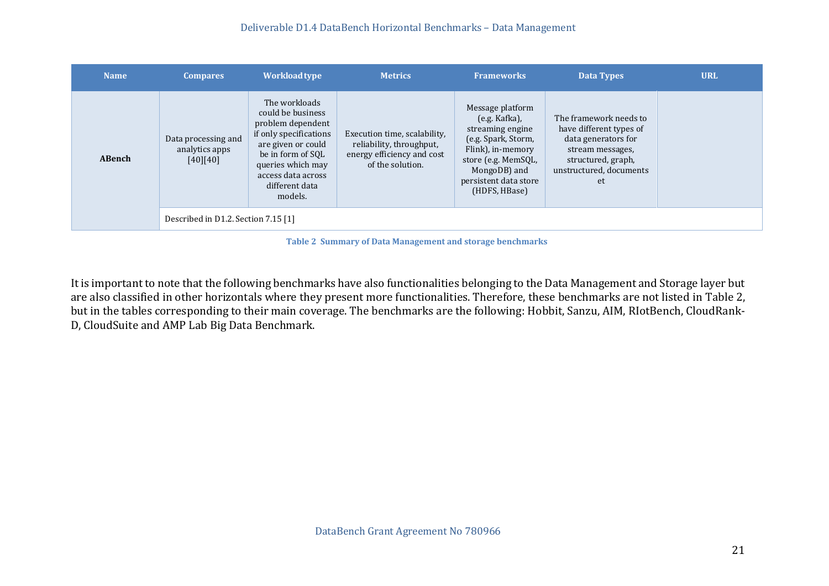| <b>Name</b>   | <b>Compares</b>                                   | <b>Workload type</b>                                                                                                                                                                                 | <b>Metrics</b>                                                                                             | <b>Frameworks</b>                                                                                                                                                                    | <b>Data Types</b>                                                                                                                                   | <b>URL</b> |
|---------------|---------------------------------------------------|------------------------------------------------------------------------------------------------------------------------------------------------------------------------------------------------------|------------------------------------------------------------------------------------------------------------|--------------------------------------------------------------------------------------------------------------------------------------------------------------------------------------|-----------------------------------------------------------------------------------------------------------------------------------------------------|------------|
| <b>ABench</b> | Data processing and<br>analytics apps<br>[40][40] | The workloads<br>could be business<br>problem dependent<br>if only specifications<br>are given or could<br>be in form of SQL<br>queries which may<br>access data across<br>different data<br>models. | Execution time, scalability,<br>reliability, throughput,<br>energy efficiency and cost<br>of the solution. | Message platform<br>$(e.g.$ Kafka),<br>streaming engine<br>(e.g. Spark, Storm,<br>Flink), in-memory<br>store (e.g. MemSQL,<br>MongoDB) and<br>persistent data store<br>(HDFS, HBase) | The framework needs to<br>have different types of<br>data generators for<br>stream messages,<br>structured, graph,<br>unstructured, documents<br>et |            |
|               | Described in D1.2. Section 7.15 [1]               |                                                                                                                                                                                                      |                                                                                                            |                                                                                                                                                                                      |                                                                                                                                                     |            |

**Table 2 Summary of Data Management and storage benchmarks**

<span id="page-20-0"></span>It is important to note that the following benchmarks have also functionalities belonging to the Data Management and Storage layer but are also classified in other horizontals where they present more functionalities. Therefore, these benchmarks are not listed in Table 2, but in the tables corresponding to their main coverage. The benchmarks are the following: Hobbit, Sanzu, AIM, RIotBench, CloudRank-D, CloudSuite and AMP Lab Big Data Benchmark.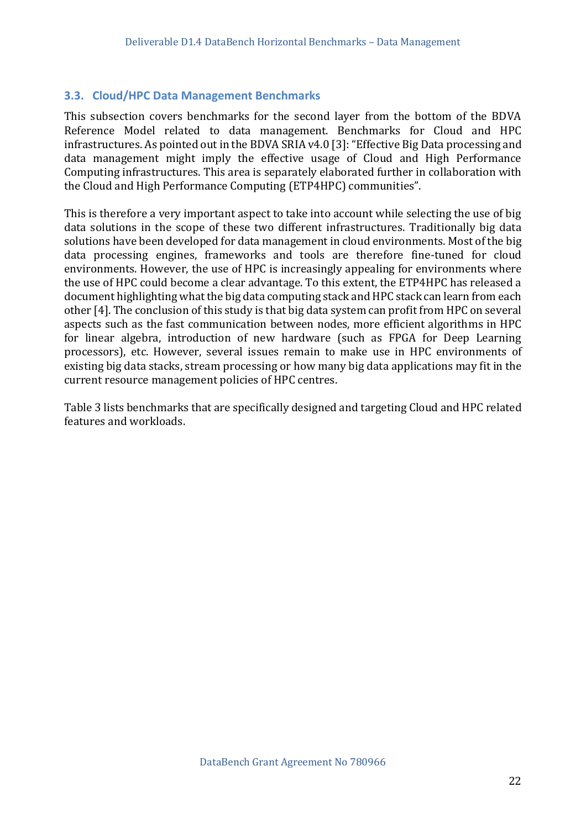#### <span id="page-21-0"></span>**3.3. Cloud/HPC Data Management Benchmarks**

This subsection covers benchmarks for the second layer from the bottom of the BDVA Reference Model related to data management. Benchmarks for Cloud and HPC infrastructures. As pointed out in the BDVA SRIA v4.0 [3]: "Effective Big Data processing and data management might imply the effective usage of Cloud and High Performance Computing infrastructures. This area is separately elaborated further in collaboration with the Cloud and High Performance Computing (ETP4HPC) communities".

This is therefore a very important aspect to take into account while selecting the use of big data solutions in the scope of these two different infrastructures. Traditionally big data solutions have been developed for data management in cloud environments. Most of the big data processing engines, frameworks and tools are therefore fine-tuned for cloud environments. However, the use of HPC is increasingly appealing for environments where the use of HPC could become a clear advantage. To this extent, the ETP4HPC has released a document highlighting what the big data computing stack and HPC stack can learn from each other [4]. The conclusion of this study is that big data system can profit from HPC on several aspects such as the fast communication between nodes, more efficient algorithms in HPC for linear algebra, introduction of new hardware (such as FPGA for Deep Learning processors), etc. However, several issues remain to make use in HPC environments of existing big data stacks, stream processing or how many big data applications may fit in the current resource management policies of HPC centres.

Table 3 lists benchmarks that are specifically designed and targeting Cloud and HPC related features and workloads.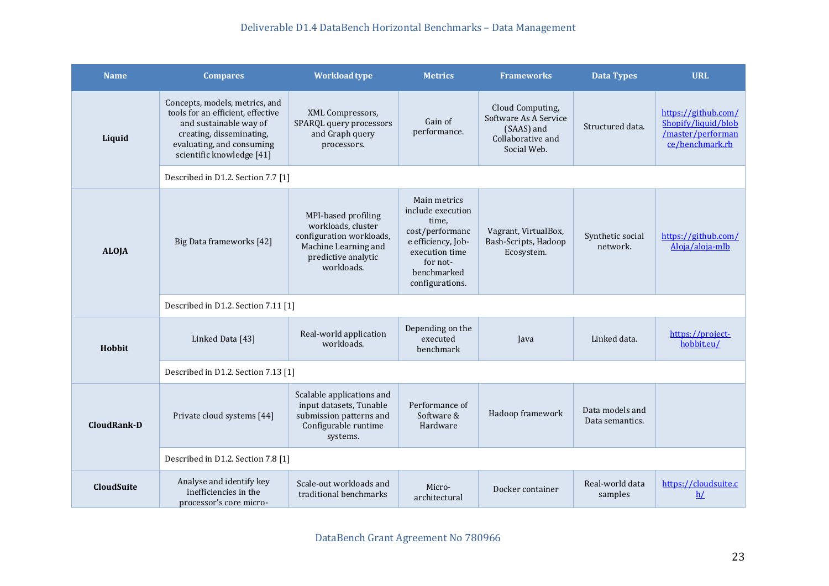| <b>Name</b>       | <b>Compares</b>                                                                                                                                                                     | <b>Workload type</b>                                                                                                               | <b>Metrics</b>                                                                                                                                      | <b>Frameworks</b>                                                                           | <b>Data Types</b>                  | <b>URL</b>                                                                         |  |  |
|-------------------|-------------------------------------------------------------------------------------------------------------------------------------------------------------------------------------|------------------------------------------------------------------------------------------------------------------------------------|-----------------------------------------------------------------------------------------------------------------------------------------------------|---------------------------------------------------------------------------------------------|------------------------------------|------------------------------------------------------------------------------------|--|--|
| Liquid            | Concepts, models, metrics, and<br>tools for an efficient, effective<br>and sustainable way of<br>creating, disseminating,<br>evaluating, and consuming<br>scientific knowledge [41] | XML Compressors,<br>SPARQL query processors<br>and Graph query<br>processors.                                                      | Gain of<br>performance.                                                                                                                             | Cloud Computing,<br>Software As A Service<br>(SAAS) and<br>Collaborative and<br>Social Web. | Structured data.                   | https://github.com/<br>Shopify/liquid/blob<br>/master/performan<br>ce/benchmark.rb |  |  |
|                   | Described in D1.2. Section 7.7 [1]                                                                                                                                                  |                                                                                                                                    |                                                                                                                                                     |                                                                                             |                                    |                                                                                    |  |  |
| <b>ALOJA</b>      | Big Data frameworks [42]                                                                                                                                                            | MPI-based profiling<br>workloads, cluster<br>configuration workloads,<br>Machine Learning and<br>predictive analytic<br>workloads. | Main metrics<br>include execution<br>time,<br>cost/performanc<br>e efficiency, Job-<br>execution time<br>for not-<br>benchmarked<br>configurations. | Vagrant, VirtualBox,<br>Bash-Scripts, Hadoop<br>Ecosystem.                                  | Synthetic social<br>network.       | https://github.com/<br>Aloja/aloja-mlb                                             |  |  |
|                   | Described in D1.2. Section 7.11 [1]                                                                                                                                                 |                                                                                                                                    |                                                                                                                                                     |                                                                                             |                                    |                                                                                    |  |  |
| Hobbit            | Linked Data [43]                                                                                                                                                                    | Real-world application<br>workloads.                                                                                               | Depending on the<br>executed<br>benchmark                                                                                                           | Java                                                                                        | Linked data.                       | https://project-<br>hobbit.eu/                                                     |  |  |
|                   | Described in D1.2. Section 7.13 [1]                                                                                                                                                 |                                                                                                                                    |                                                                                                                                                     |                                                                                             |                                    |                                                                                    |  |  |
| CloudRank-D       | Private cloud systems [44]                                                                                                                                                          | Scalable applications and<br>input datasets, Tunable<br>submission patterns and<br>Configurable runtime<br>systems.                | Performance of<br>Software &<br>Hardware                                                                                                            | Hadoop framework                                                                            | Data models and<br>Data semantics. |                                                                                    |  |  |
|                   | Described in D1.2. Section 7.8 [1]                                                                                                                                                  |                                                                                                                                    |                                                                                                                                                     |                                                                                             |                                    |                                                                                    |  |  |
| <b>CloudSuite</b> | Analyse and identify key<br>inefficiencies in the<br>processor's core micro-                                                                                                        | Scale-out workloads and<br>traditional benchmarks                                                                                  | Micro-<br>architectural                                                                                                                             | Docker container                                                                            | Real-world data<br>samples         | https://cloudsuite.c<br>h/                                                         |  |  |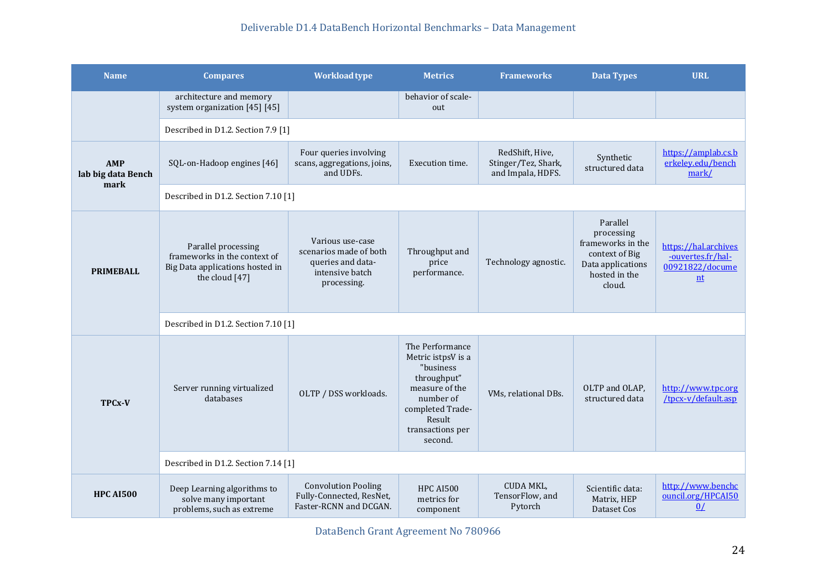| <b>Name</b>                              | <b>Compares</b>                                                                                          | <b>Workload type</b>                                                                              | <b>Metrics</b>                                                                                                                                                | <b>Frameworks</b>                                           | <b>Data Types</b>                                                                                             | <b>URL</b>                                                         |  |  |
|------------------------------------------|----------------------------------------------------------------------------------------------------------|---------------------------------------------------------------------------------------------------|---------------------------------------------------------------------------------------------------------------------------------------------------------------|-------------------------------------------------------------|---------------------------------------------------------------------------------------------------------------|--------------------------------------------------------------------|--|--|
|                                          | architecture and memory<br>system organization [45] [45]                                                 |                                                                                                   | behavior of scale-<br>out                                                                                                                                     |                                                             |                                                                                                               |                                                                    |  |  |
|                                          | Described in D1.2. Section 7.9 [1]                                                                       |                                                                                                   |                                                                                                                                                               |                                                             |                                                                                                               |                                                                    |  |  |
| <b>AMP</b><br>lab big data Bench<br>mark | SQL-on-Hadoop engines [46]                                                                               | Four queries involving<br>scans, aggregations, joins,<br>and UDFs.                                | Execution time.                                                                                                                                               | RedShift, Hive,<br>Stinger/Tez, Shark,<br>and Impala, HDFS. | Synthetic<br>structured data                                                                                  | https://amplab.cs.b<br>erkeley.edu/bench<br>mark/                  |  |  |
|                                          | Described in D1.2. Section 7.10 [1]                                                                      |                                                                                                   |                                                                                                                                                               |                                                             |                                                                                                               |                                                                    |  |  |
| <b>PRIMEBALL</b>                         | Parallel processing<br>frameworks in the context of<br>Big Data applications hosted in<br>the cloud [47] | Various use-case<br>scenarios made of both<br>queries and data-<br>intensive batch<br>processing. | Throughput and<br>price<br>performance.                                                                                                                       | Technology agnostic.                                        | Parallel<br>processing<br>frameworks in the<br>context of Big<br>Data applications<br>hosted in the<br>cloud. | https://hal.archives<br>-ouvertes.fr/hal-<br>00921822/docume<br>nt |  |  |
|                                          | Described in D1.2. Section 7.10 [1]                                                                      |                                                                                                   |                                                                                                                                                               |                                                             |                                                                                                               |                                                                    |  |  |
| <b>TPCx-V</b>                            | Server running virtualized<br>databases                                                                  | OLTP / DSS workloads.                                                                             | The Performance<br>Metric istpsV is a<br>"business<br>throughput"<br>measure of the<br>number of<br>completed Trade-<br>Result<br>transactions per<br>second. | VMs, relational DBs.                                        | OLTP and OLAP,<br>structured data                                                                             | http://www.tpc.org<br>/tpcx-v/default.asp                          |  |  |
|                                          | Described in D1.2. Section 7.14 [1]                                                                      |                                                                                                   |                                                                                                                                                               |                                                             |                                                                                                               |                                                                    |  |  |
| <b>HPC AI500</b>                         | Deep Learning algorithms to<br>solve many important<br>problems, such as extreme                         | <b>Convolution Pooling</b><br>Fully-Connected, ResNet,<br>Faster-RCNN and DCGAN.                  | <b>HPC AI500</b><br>metrics for<br>component                                                                                                                  | CUDA MKL,<br>TensorFlow, and<br>Pytorch                     | Scientific data:<br>Matrix, HEP<br>Dataset Cos                                                                | http://www.benchc<br>ouncil.org/HPCAI50<br>0/                      |  |  |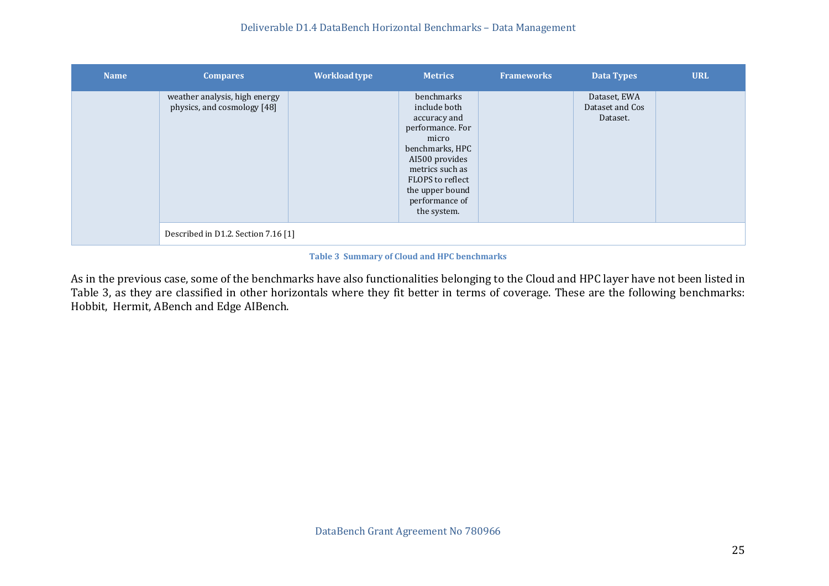| <b>Name</b> | <b>Compares</b>                                              | <b>Workload type</b> | <b>Metrics</b>                                                                                                                                                                                          | <b>Frameworks</b> | Data Types                                  | <b>URL</b> |
|-------------|--------------------------------------------------------------|----------------------|---------------------------------------------------------------------------------------------------------------------------------------------------------------------------------------------------------|-------------------|---------------------------------------------|------------|
|             | weather analysis, high energy<br>physics, and cosmology [48] |                      | benchmarks<br>include both<br>accuracy and<br>performance. For<br>micro<br>benchmarks, HPC<br>AI500 provides<br>metrics such as<br>FLOPS to reflect<br>the upper bound<br>performance of<br>the system. |                   | Dataset, EWA<br>Dataset and Cos<br>Dataset. |            |
|             | Described in D1.2. Section 7.16 [1]                          |                      |                                                                                                                                                                                                         |                   |                                             |            |

#### **Table 3 Summary of Cloud and HPC benchmarks**

<span id="page-24-0"></span>As in the previous case, some of the benchmarks have also functionalities belonging to the Cloud and HPC layer have not been listed in Table 3, as they are classified in other horizontals where they fit better in terms of coverage. These are the following benchmarks: Hobbit, Hermit, ABench and Edge AIBench.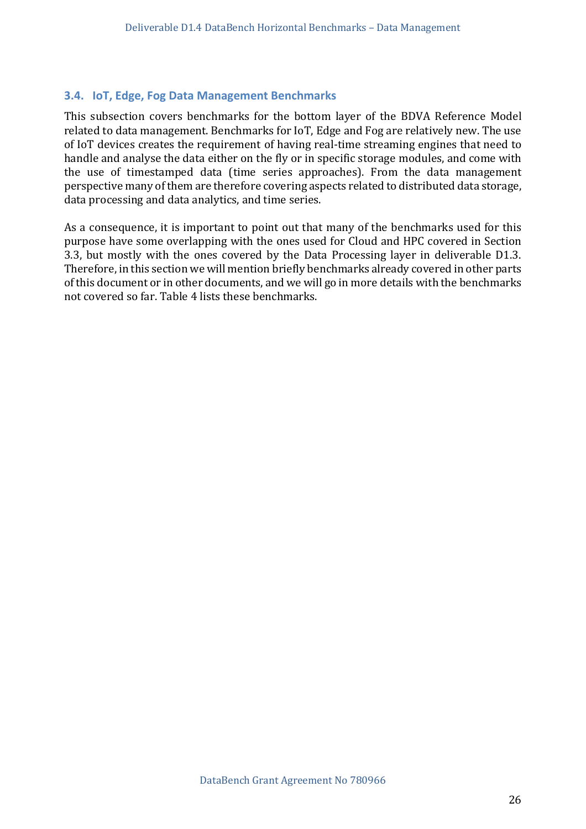#### <span id="page-25-0"></span>**3.4. IoT, Edge, Fog Data Management Benchmarks**

This subsection covers benchmarks for the bottom layer of the BDVA Reference Model related to data management. Benchmarks for IoT, Edge and Fog are relatively new. The use of IoT devices creates the requirement of having real-time streaming engines that need to handle and analyse the data either on the fly or in specific storage modules, and come with the use of timestamped data (time series approaches). From the data management perspective many of them are therefore covering aspects related to distributed data storage, data processing and data analytics, and time series.

As a consequence, it is important to point out that many of the benchmarks used for this purpose have some overlapping with the ones used for Cloud and HPC covered in Section 3.3, but mostly with the ones covered by the Data Processing layer in deliverable D1.3. Therefore, in this section we will mention briefly benchmarks already covered in other parts of this document or in other documents, and we will go in more details with the benchmarks not covered so far. Table 4 lists these benchmarks.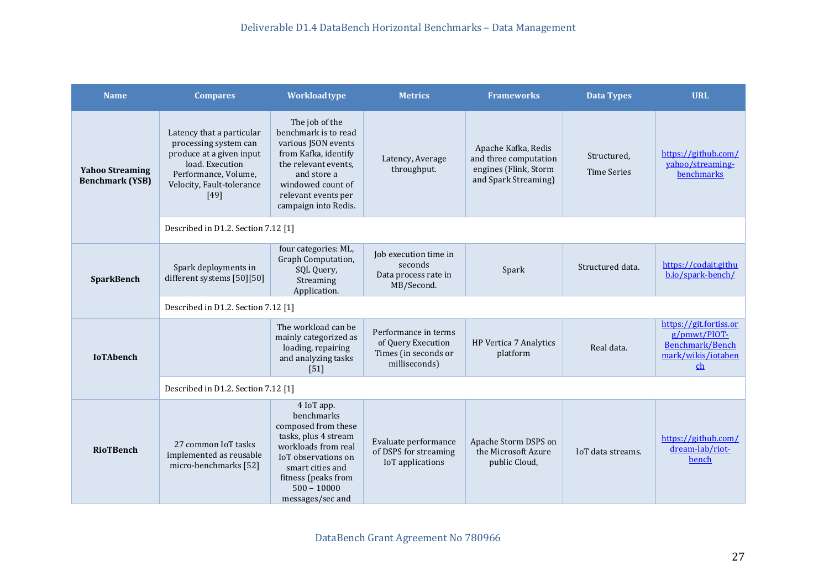| <b>Name</b>                                      | <b>Compares</b>                                                                                                                                                  | <b>Workload type</b>                                                                                                                                                                                  | <b>Metrics</b>                                                                      | <b>Frameworks</b>                                                                             | <b>Data Types</b>                 | <b>URL</b>                                                                            |
|--------------------------------------------------|------------------------------------------------------------------------------------------------------------------------------------------------------------------|-------------------------------------------------------------------------------------------------------------------------------------------------------------------------------------------------------|-------------------------------------------------------------------------------------|-----------------------------------------------------------------------------------------------|-----------------------------------|---------------------------------------------------------------------------------------|
| <b>Yahoo Streaming</b><br><b>Benchmark (YSB)</b> | Latency that a particular<br>processing system can<br>produce at a given input<br>load. Execution<br>Performance, Volume,<br>Velocity, Fault-tolerance<br>$[49]$ | The job of the<br>benchmark is to read<br>various JSON events<br>from Kafka, identify<br>the relevant events,<br>and store a<br>windowed count of<br>relevant events per<br>campaign into Redis.      | Latency, Average<br>throughput.                                                     | Apache Kafka, Redis<br>and three computation<br>engines (Flink, Storm<br>and Spark Streaming) | Structured,<br><b>Time Series</b> | https://github.com/<br>yahoo/streaming-<br>benchmarks                                 |
|                                                  | Described in D1.2. Section 7.12 [1]                                                                                                                              |                                                                                                                                                                                                       |                                                                                     |                                                                                               |                                   |                                                                                       |
| SparkBench                                       | Spark deployments in<br>different systems [50][50]                                                                                                               | four categories: ML,<br>Graph Computation,<br>SQL Query,<br>Streaming<br>Application.                                                                                                                 | Job execution time in<br>seconds<br>Data process rate in<br>MB/Second.              | Spark                                                                                         | Structured data.                  | https://codait.githu<br>b.io/spark-bench/                                             |
|                                                  | Described in D1.2. Section 7.12 [1]                                                                                                                              |                                                                                                                                                                                                       |                                                                                     |                                                                                               |                                   |                                                                                       |
| <b>IoTAbench</b>                                 |                                                                                                                                                                  | The workload can be<br>mainly categorized as<br>loading, repairing<br>and analyzing tasks<br>[51]                                                                                                     | Performance in terms<br>of Query Execution<br>Times (in seconds or<br>milliseconds) | HP Vertica 7 Analytics<br>platform                                                            | Real data.                        | https://git.fortiss.or<br>g/pmwt/PIOT-<br>Benchmark/Bench<br>mark/wikis/iotaben<br>ch |
|                                                  | Described in D1.2. Section 7.12 [1]                                                                                                                              |                                                                                                                                                                                                       |                                                                                     |                                                                                               |                                   |                                                                                       |
| <b>RioTBench</b>                                 | 27 common IoT tasks<br>implemented as reusable<br>micro-benchmarks [52]                                                                                          | 4 IoT app.<br>benchmarks<br>composed from these<br>tasks, plus 4 stream<br>workloads from real<br>IoT observations on<br>smart cities and<br>fitness (peaks from<br>$500 - 10000$<br>messages/sec and | Evaluate performance<br>of DSPS for streaming<br>IoT applications                   | Apache Storm DSPS on<br>the Microsoft Azure<br>public Cloud,                                  | IoT data streams.                 | https://github.com/<br>dream-lab/riot-<br>bench                                       |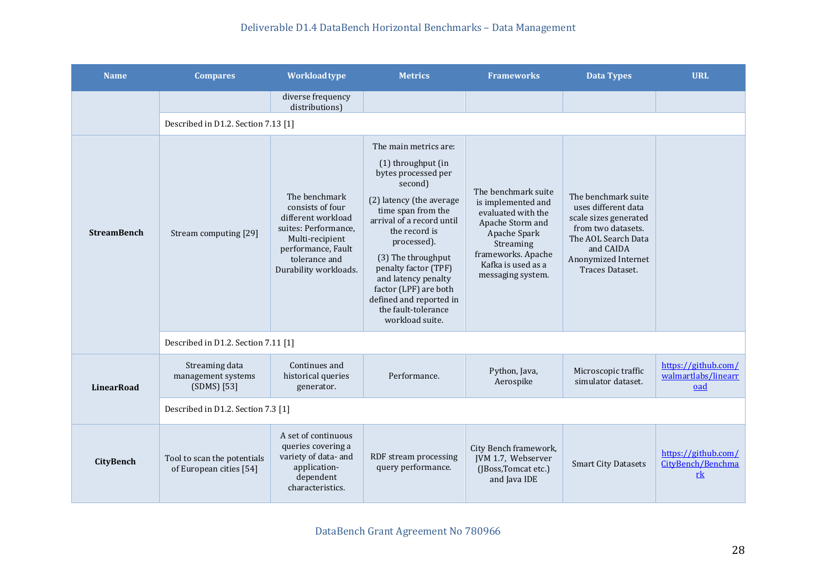| <b>Name</b>        | <b>Compares</b>                                        | <b>Workload type</b>                                                                                                                                               | <b>Metrics</b>                                                                                                                                                                                                                                                                                                                                                  | <b>Frameworks</b>                                                                                                                                                                 | <b>Data Types</b>                                                                                                                                                       | <b>URL</b>                                                          |
|--------------------|--------------------------------------------------------|--------------------------------------------------------------------------------------------------------------------------------------------------------------------|-----------------------------------------------------------------------------------------------------------------------------------------------------------------------------------------------------------------------------------------------------------------------------------------------------------------------------------------------------------------|-----------------------------------------------------------------------------------------------------------------------------------------------------------------------------------|-------------------------------------------------------------------------------------------------------------------------------------------------------------------------|---------------------------------------------------------------------|
|                    |                                                        | diverse frequency<br>distributions)                                                                                                                                |                                                                                                                                                                                                                                                                                                                                                                 |                                                                                                                                                                                   |                                                                                                                                                                         |                                                                     |
|                    | Described in D1.2. Section 7.13 [1]                    |                                                                                                                                                                    |                                                                                                                                                                                                                                                                                                                                                                 |                                                                                                                                                                                   |                                                                                                                                                                         |                                                                     |
| <b>StreamBench</b> | Stream computing [29]                                  | The benchmark<br>consists of four<br>different workload<br>suites: Performance.<br>Multi-recipient<br>performance, Fault<br>tolerance and<br>Durability workloads. | The main metrics are:<br>(1) throughput (in<br>bytes processed per<br>second)<br>(2) latency (the average<br>time span from the<br>arrival of a record until<br>the record is<br>processed).<br>(3) The throughput<br>penalty factor (TPF)<br>and latency penalty<br>factor (LPF) are both<br>defined and reported in<br>the fault-tolerance<br>workload suite. | The benchmark suite<br>is implemented and<br>evaluated with the<br>Apache Storm and<br>Apache Spark<br>Streaming<br>frameworks. Apache<br>Kafka is used as a<br>messaging system. | The benchmark suite<br>uses different data<br>scale sizes generated<br>from two datasets.<br>The AOL Search Data<br>and CAIDA<br>Anonymized Internet<br>Traces Dataset. |                                                                     |
|                    | Described in D1.2. Section 7.11 [1]                    |                                                                                                                                                                    |                                                                                                                                                                                                                                                                                                                                                                 |                                                                                                                                                                                   |                                                                                                                                                                         |                                                                     |
| <b>LinearRoad</b>  | Streaming data<br>management systems<br>(SDMS) [53]    | Continues and<br>historical queries<br>generator.                                                                                                                  | Performance.                                                                                                                                                                                                                                                                                                                                                    | Python, Java,<br>Aerospike                                                                                                                                                        | Microscopic traffic<br>simulator dataset.                                                                                                                               | https://github.com/<br>walmartlabs/linearr<br>oad                   |
|                    | Described in D1.2. Section 7.3 [1]                     |                                                                                                                                                                    |                                                                                                                                                                                                                                                                                                                                                                 |                                                                                                                                                                                   |                                                                                                                                                                         |                                                                     |
| <b>CityBench</b>   | Tool to scan the potentials<br>of European cities [54] | A set of continuous<br>queries covering a<br>variety of data- and<br>application-<br>dependent<br>characteristics.                                                 | RDF stream processing<br>query performance.                                                                                                                                                                                                                                                                                                                     | City Bench framework,<br>JVM 1.7, Webserver<br>(JBoss, Tomcat etc.)<br>and Java IDE                                                                                               | <b>Smart City Datasets</b>                                                                                                                                              | https://github.com/<br>CityBench/Benchma<br>$\underline{\text{rk}}$ |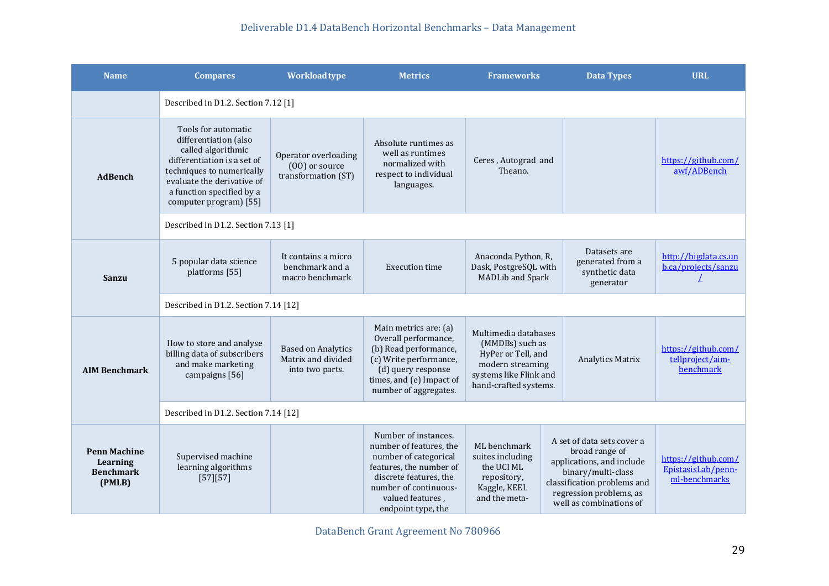| <b>Name</b>                                                   | <b>Compares</b>                                                                                                                                                                                                     | <b>Workload type</b>                                               | <b>Metrics</b>                                                                                                                                                                                   | <b>Frameworks</b>                                                                                                                    | <b>Data Types</b>                                                                                                                                                                    | <b>URL</b>                                                 |  |  |  |
|---------------------------------------------------------------|---------------------------------------------------------------------------------------------------------------------------------------------------------------------------------------------------------------------|--------------------------------------------------------------------|--------------------------------------------------------------------------------------------------------------------------------------------------------------------------------------------------|--------------------------------------------------------------------------------------------------------------------------------------|--------------------------------------------------------------------------------------------------------------------------------------------------------------------------------------|------------------------------------------------------------|--|--|--|
|                                                               |                                                                                                                                                                                                                     | Described in D1.2. Section 7.12 [1]                                |                                                                                                                                                                                                  |                                                                                                                                      |                                                                                                                                                                                      |                                                            |  |  |  |
| <b>AdBench</b>                                                | Tools for automatic<br>differentiation (also<br>called algorithmic<br>differentiation is a set of<br>techniques to numerically<br>evaluate the derivative of<br>a function specified by a<br>computer program) [55] | Operator overloading<br>(00) or source<br>transformation (ST)      | Absolute runtimes as<br>well as runtimes<br>normalized with<br>respect to individual<br>languages.                                                                                               | Ceres, Autograd and<br>Theano.                                                                                                       |                                                                                                                                                                                      | https://github.com/<br>awf/ADBench                         |  |  |  |
|                                                               | Described in D1.2. Section 7.13 [1]                                                                                                                                                                                 |                                                                    |                                                                                                                                                                                                  |                                                                                                                                      |                                                                                                                                                                                      |                                                            |  |  |  |
| <b>Sanzu</b>                                                  | 5 popular data science<br>platforms [55]                                                                                                                                                                            | It contains a micro<br>benchmark and a<br>macro benchmark          | <b>Execution time</b>                                                                                                                                                                            | Anaconda Python, R,<br>Dask, PostgreSQL with<br><b>MADLib and Spark</b>                                                              | Datasets are<br>generated from a<br>synthetic data<br>generator                                                                                                                      | http://bigdata.cs.un<br>b.ca/projects/sanzu<br>L           |  |  |  |
|                                                               | Described in D1.2. Section 7.14 [12]                                                                                                                                                                                |                                                                    |                                                                                                                                                                                                  |                                                                                                                                      |                                                                                                                                                                                      |                                                            |  |  |  |
| <b>AIM Benchmark</b>                                          | How to store and analyse<br>billing data of subscribers<br>and make marketing<br>campaigns [56]                                                                                                                     | <b>Based on Analytics</b><br>Matrix and divided<br>into two parts. | Main metrics are: (a)<br>Overall performance,<br>(b) Read performance,<br>(c) Write performance,<br>(d) query response<br>times, and (e) Impact of<br>number of aggregates.                      | Multimedia databases<br>(MMDBs) such as<br>HyPer or Tell, and<br>modern streaming<br>systems like Flink and<br>hand-crafted systems. | <b>Analytics Matrix</b>                                                                                                                                                              | https://github.com/<br>tellproject/aim-<br>benchmark       |  |  |  |
|                                                               | Described in D1.2. Section 7.14 [12]                                                                                                                                                                                |                                                                    |                                                                                                                                                                                                  |                                                                                                                                      |                                                                                                                                                                                      |                                                            |  |  |  |
| <b>Penn Machine</b><br>Learning<br><b>Benchmark</b><br>(PMLB) | Supervised machine<br>learning algorithms<br>[57][57]                                                                                                                                                               |                                                                    | Number of instances.<br>number of features, the<br>number of categorical<br>features, the number of<br>discrete features, the<br>number of continuous-<br>valued features,<br>endpoint type, the | ML benchmark<br>suites including<br>the UCI ML<br>repository,<br>Kaggle, KEEL<br>and the meta-                                       | A set of data sets cover a<br>broad range of<br>applications, and include<br>binary/multi-class<br>classification problems and<br>regression problems, as<br>well as combinations of | https://github.com/<br>EpistasisLab/penn-<br>ml-benchmarks |  |  |  |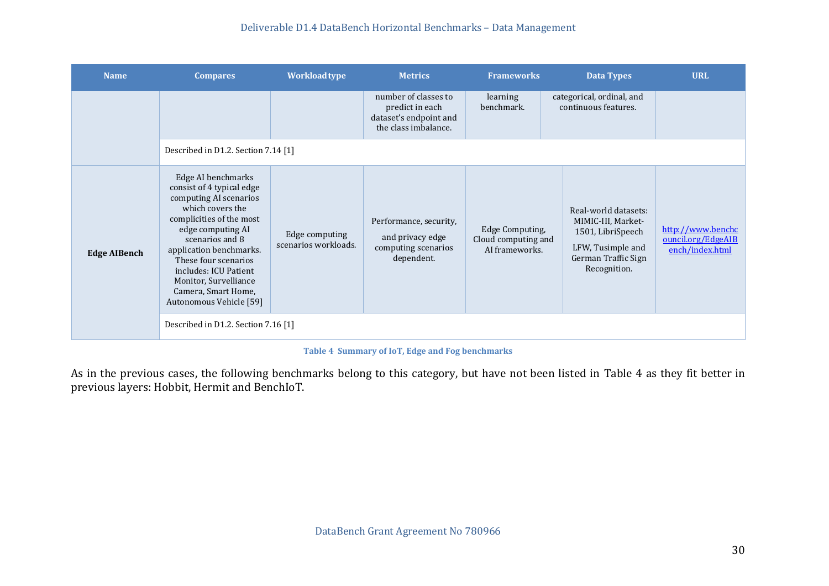| <b>Name</b>         | <b>Compares</b>                                                                                                                                                                                                                                                                                                          | <b>Workload type</b>                   | <b>Metrics</b>                                                                            | <b>Frameworks</b>                                        | <b>Data Types</b>                                                                                                           | <b>URL</b>                                                 |
|---------------------|--------------------------------------------------------------------------------------------------------------------------------------------------------------------------------------------------------------------------------------------------------------------------------------------------------------------------|----------------------------------------|-------------------------------------------------------------------------------------------|----------------------------------------------------------|-----------------------------------------------------------------------------------------------------------------------------|------------------------------------------------------------|
|                     |                                                                                                                                                                                                                                                                                                                          |                                        | number of classes to<br>predict in each<br>dataset's endpoint and<br>the class imbalance. | learning<br>benchmark.                                   | categorical, ordinal, and<br>continuous features.                                                                           |                                                            |
|                     | Described in D1.2. Section 7.14 [1]                                                                                                                                                                                                                                                                                      |                                        |                                                                                           |                                                          |                                                                                                                             |                                                            |
| <b>Edge AIBench</b> | Edge AI benchmarks<br>consist of 4 typical edge<br>computing AI scenarios<br>which covers the<br>complicities of the most<br>edge computing AI<br>scenarios and 8<br>application benchmarks.<br>These four scenarios<br>includes: ICU Patient<br>Monitor, Survelliance<br>Camera, Smart Home,<br>Autonomous Vehicle [59] | Edge computing<br>scenarios workloads. | Performance, security,<br>and privacy edge<br>computing scenarios<br>dependent.           | Edge Computing,<br>Cloud computing and<br>AI frameworks. | Real-world datasets:<br>MIMIC-III, Market-<br>1501, LibriSpeech<br>LFW, Tusimple and<br>German Traffic Sign<br>Recognition. | http://www.benchc<br>ouncil.org/EdgeAIB<br>ench/index.html |
|                     | Described in D1.2. Section 7.16 [1]                                                                                                                                                                                                                                                                                      |                                        |                                                                                           |                                                          |                                                                                                                             |                                                            |

#### **Table 4 Summary of IoT, Edge and Fog benchmarks**

<span id="page-29-0"></span>As in the previous cases, the following benchmarks belong to this category, but have not been listed in Table 4 as they fit better in previous layers: Hobbit, Hermit and BenchIoT.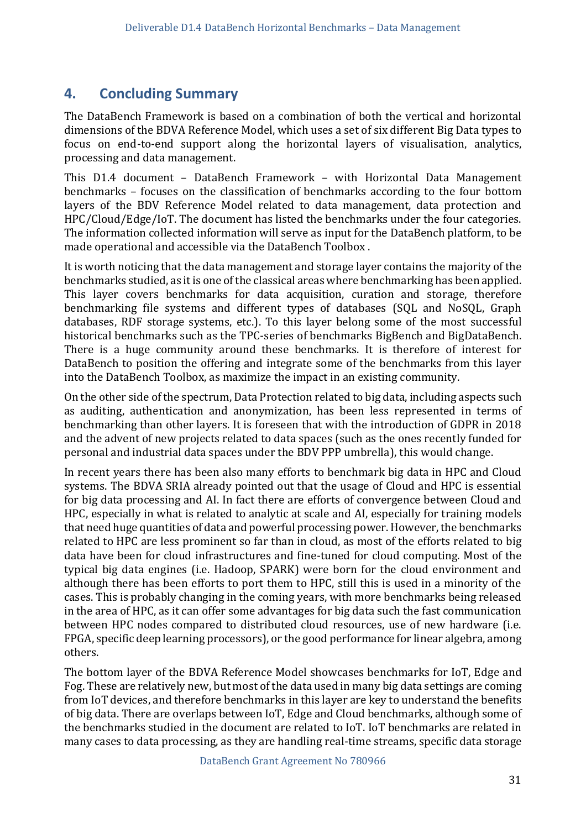# <span id="page-30-0"></span>**4. Concluding Summary**

The DataBench Framework is based on a combination of both the vertical and horizontal dimensions of the BDVA Reference Model, which uses a set of six different Big Data types to focus on end-to-end support along the horizontal layers of visualisation, analytics, processing and data management.

This D1.4 document – DataBench Framework – with Horizontal Data Management benchmarks – focuses on the classification of benchmarks according to the four bottom layers of the BDV Reference Model related to data management, data protection and HPC/Cloud/Edge/IoT. The document has listed the benchmarks under the four categories. The information collected information will serve as input for the DataBench platform, to be made operational and accessible via the DataBench Toolbox .

It is worth noticing that the data management and storage layer contains the majority of the benchmarks studied, as it is one of the classical areas where benchmarking has been applied. This layer covers benchmarks for data acquisition, curation and storage, therefore benchmarking file systems and different types of databases (SQL and NoSQL, Graph databases, RDF storage systems, etc.). To this layer belong some of the most successful historical benchmarks such as the TPC-series of benchmarks BigBench and BigDataBench. There is a huge community around these benchmarks. It is therefore of interest for DataBench to position the offering and integrate some of the benchmarks from this layer into the DataBench Toolbox, as maximize the impact in an existing community.

On the other side of the spectrum, Data Protection related to big data, including aspects such as auditing, authentication and anonymization, has been less represented in terms of benchmarking than other layers. It is foreseen that with the introduction of GDPR in 2018 and the advent of new projects related to data spaces (such as the ones recently funded for personal and industrial data spaces under the BDV PPP umbrella), this would change.

In recent years there has been also many efforts to benchmark big data in HPC and Cloud systems. The BDVA SRIA already pointed out that the usage of Cloud and HPC is essential for big data processing and AI. In fact there are efforts of convergence between Cloud and HPC, especially in what is related to analytic at scale and AI, especially for training models that need huge quantities of data and powerful processing power. However, the benchmarks related to HPC are less prominent so far than in cloud, as most of the efforts related to big data have been for cloud infrastructures and fine-tuned for cloud computing. Most of the typical big data engines (i.e. Hadoop, SPARK) were born for the cloud environment and although there has been efforts to port them to HPC, still this is used in a minority of the cases. This is probably changing in the coming years, with more benchmarks being released in the area of HPC, as it can offer some advantages for big data such the fast communication between HPC nodes compared to distributed cloud resources, use of new hardware (i.e. FPGA, specific deep learning processors), or the good performance for linear algebra, among others.

The bottom layer of the BDVA Reference Model showcases benchmarks for IoT, Edge and Fog. These are relatively new, but most of the data used in many big data settings are coming from IoT devices, and therefore benchmarks in this layer are key to understand the benefits of big data. There are overlaps between IoT, Edge and Cloud benchmarks, although some of the benchmarks studied in the document are related to IoT. IoT benchmarks are related in many cases to data processing, as they are handling real-time streams, specific data storage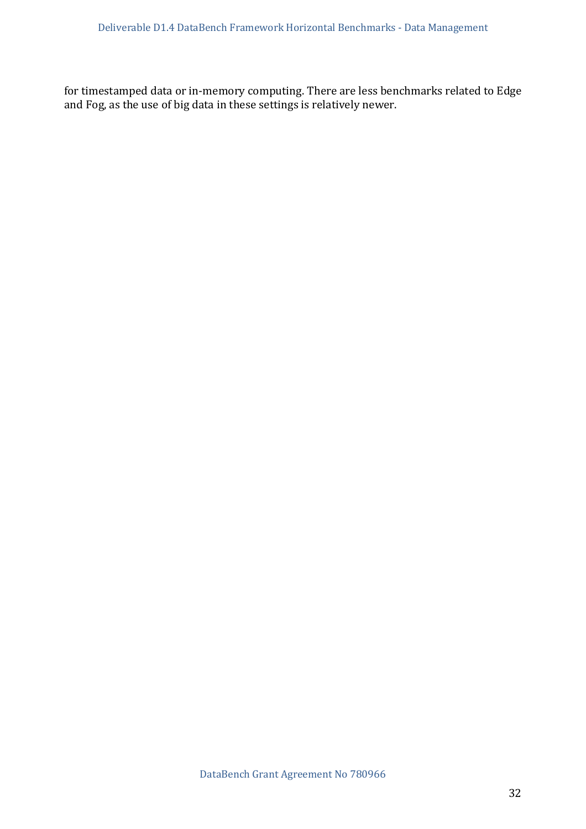for timestamped data or in-memory computing. There are less benchmarks related to Edge and Fog, as the use of big data in these settings is relatively newer.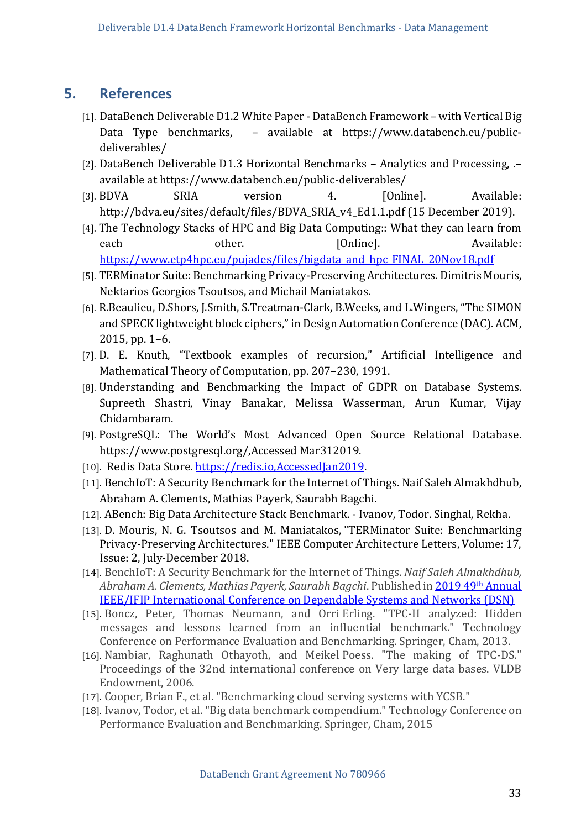### <span id="page-32-0"></span>**5. References**

- [1]. DataBench Deliverable D1.2 White Paper DataBench Framework with Vertical Big Data Type benchmarks, – available at https://www.databench.eu/publicdeliverables/
- [2]. DataBench Deliverable D1.3 Horizontal Benchmarks Analytics and Processing, .– available at https://www.databench.eu/public-deliverables/
- [3]. BDVA SRIA version 4. [Online]. Available: http://bdva.eu/sites/default/files/BDVA\_SRIA\_v4\_Ed1.1.pdf (15 December 2019).
- [4]. The Technology Stacks of HPC and Big Data Computing:: What they can learn from each other. [Online]. Available: [https://www.etp4hpc.eu/pujades/files/bigdata\\_and\\_hpc\\_FINAL\\_20Nov18.pdf](https://www.etp4hpc.eu/pujades/files/bigdata_and_hpc_FINAL_20Nov18.pdf)
- [5]. TERMinator Suite: Benchmarking Privacy-Preserving Architectures. Dimitris Mouris, Nektarios Georgios Tsoutsos, and Michail Maniatakos.
- [6]. R.Beaulieu, D.Shors, J.Smith, S.Treatman-Clark, B.Weeks, and L.Wingers, "The SIMON and SPECK lightweight block ciphers," in Design Automation Conference (DAC). ACM, 2015, pp. 1–6.
- [7]. D. E. Knuth, "Textbook examples of recursion," Artificial Intelligence and Mathematical Theory of Computation, pp. 207–230, 1991.
- [8]. Understanding and Benchmarking the Impact of GDPR on Database Systems. Supreeth Shastri, Vinay Banakar, Melissa Wasserman, Arun Kumar, Vijay Chidambaram.
- [9]. PostgreSQL: The World's Most Advanced Open Source Relational Database. https://www.postgresql.org/,Accessed Mar312019.
- [10]. Redis Data Store. https://redis.io, Accessed Jan 2019.
- [11]. BenchIoT: A Security Benchmark for the Internet of Things. Naif Saleh Almakhdhub, Abraham A. Clements, Mathias Payerk, Saurabh Bagchi.
- [12]. ABench: Big Data Architecture Stack Benchmark. Ivanov, Todor. Singhal, Rekha.
- [13]. D. Mouris, N. G. Tsoutsos and M. Maniatakos, "TERMinator Suite: Benchmarking Privacy-Preserving Architectures." IEEE Computer Architecture Letters, Volume: 17, Issue: 2, July-December 2018.
- [14]. BenchIoT: A Security Benchmark for the Internet of Things. *Naif Saleh Almakhdhub, Abraham A. Clements, Mathias Payerk, Saurabh Bagchi*. Published in 2019 49th Annual IEEE/IFIP Internatioonal Conference on Dependable Systems and Networks (DSN)
- [15]. Boncz, Peter, Thomas Neumann, and Orri Erling. "TPC-H analyzed: Hidden messages and lessons learned from an influential benchmark." Technology Conference on Performance Evaluation and Benchmarking. Springer, Cham, 2013.
- [16]. Nambiar, Raghunath Othayoth, and Meikel Poess. "The making of TPC-DS." Proceedings of the 32nd international conference on Very large data bases. VLDB Endowment, 2006.
- [17]. Cooper, Brian F., et al. "Benchmarking cloud serving systems with YCSB."
- [18]. Ivanov, Todor, et al. "Big data benchmark compendium." Technology Conference on Performance Evaluation and Benchmarking. Springer, Cham, 2015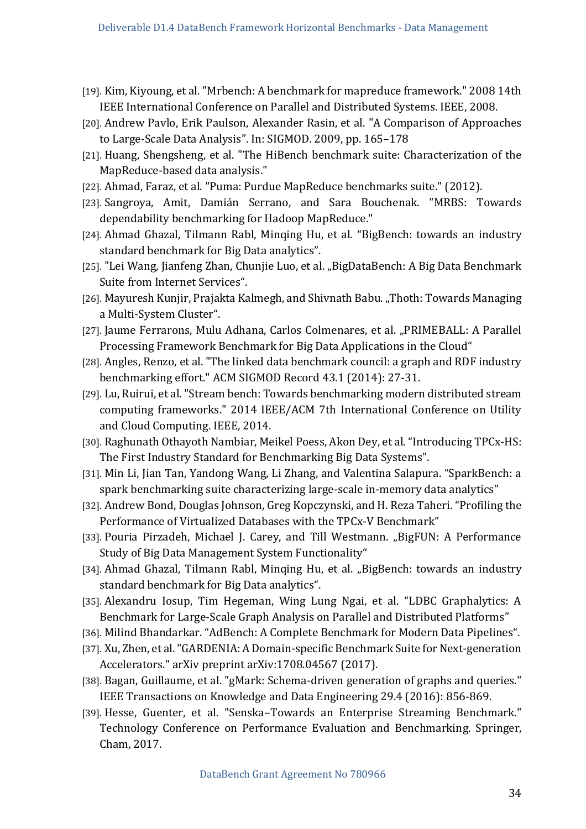- <span id="page-33-0"></span>[19]. Kim, Kiyoung, et al. "Mrbench: A benchmark for mapreduce framework." 2008 14th IEEE International Conference on Parallel and Distributed Systems. IEEE, 2008.
- [20]. Andrew Pavlo, Erik Paulson, Alexander Rasin, et al. "A Comparison of Approaches to Large-Scale Data Analysis". In: SIGMOD. 2009, pp. 165–178
- [21]. Huang, Shengsheng, et al. "The HiBench benchmark suite: Characterization of the MapReduce-based data analysis."
- [22]. Ahmad, Faraz, et al. "Puma: Purdue MapReduce benchmarks suite." (2012).
- [23]. Sangroya, Amit, Damián Serrano, and Sara Bouchenak. "MRBS: Towards dependability benchmarking for Hadoop MapReduce."
- [24]. Ahmad Ghazal, Tilmann Rabl, Minqing Hu, et al. "BigBench: towards an industry standard benchmark for Big Data analytics".
- [25]. "Lei Wang, Jianfeng Zhan, Chunjie Luo, et al. "BigDataBench: A Big Data Benchmark Suite from Internet Services".
- [26]. Mayuresh Kunjir, Prajakta Kalmegh, and Shivnath Babu. "Thoth: Towards Managing a Multi-System Cluster".
- <span id="page-33-1"></span>[27]. Jaume Ferrarons, Mulu Adhana, Carlos Colmenares, et al. "PRIMEBALL: A Parallel Processing Framework Benchmark for Big Data Applications in the Cloud"
- [28]. Angles, Renzo, et al. "The linked data benchmark council: a graph and RDF industry benchmarking effort." ACM SIGMOD Record 43.1 (2014): 27-31.
- [29]. Lu, Ruirui, et al. "Stream bench: Towards benchmarking modern distributed stream computing frameworks." 2014 IEEE/ACM 7th International Conference on Utility and Cloud Computing. IEEE, 2014.
- [30]. Raghunath Othayoth Nambiar, Meikel Poess, Akon Dey, et al. "Introducing TPCx-HS: The First Industry Standard for Benchmarking Big Data Systems".
- <span id="page-33-2"></span>[31]. Min Li, Jian Tan, Yandong Wang, Li Zhang, and Valentina Salapura. "SparkBench: a spark benchmarking suite characterizing large-scale in-memory data analytics"
- [32]. Andrew Bond, Douglas Johnson, Greg Kopczynski, and H. Reza Taheri. "Profiling the Performance of Virtualized Databases with the TPCx-V Benchmark"
- [33]. Pouria Pirzadeh, Michael J. Carey, and Till Westmann. "BigFUN: A Performance Study of Big Data Management System Functionality"
- [34]. Ahmad Ghazal, Tilmann Rabl, Minqing Hu, et al. "BigBench: towards an industry standard benchmark for Big Data analytics".
- [35]. Alexandru Iosup, Tim Hegeman, Wing Lung Ngai, et al. "LDBC Graphalytics: A Benchmark for Large-Scale Graph Analysis on Parallel and Distributed Platforms"
- [36]. Milind Bhandarkar. "AdBench: A Complete Benchmark for Modern Data Pipelines".
- [37]. Xu, Zhen, et al. "GARDENIA: A Domain-specific Benchmark Suite for Next-generation Accelerators." arXiv preprint arXiv:1708.04567 (2017).
- [38]. Bagan, Guillaume, et al. "gMark: Schema-driven generation of graphs and queries." IEEE Transactions on Knowledge and Data Engineering 29.4 (2016): 856-869.
- [39]. Hesse, Guenter, et al. "Senska–Towards an Enterprise Streaming Benchmark." Technology Conference on Performance Evaluation and Benchmarking. Springer, Cham, 2017.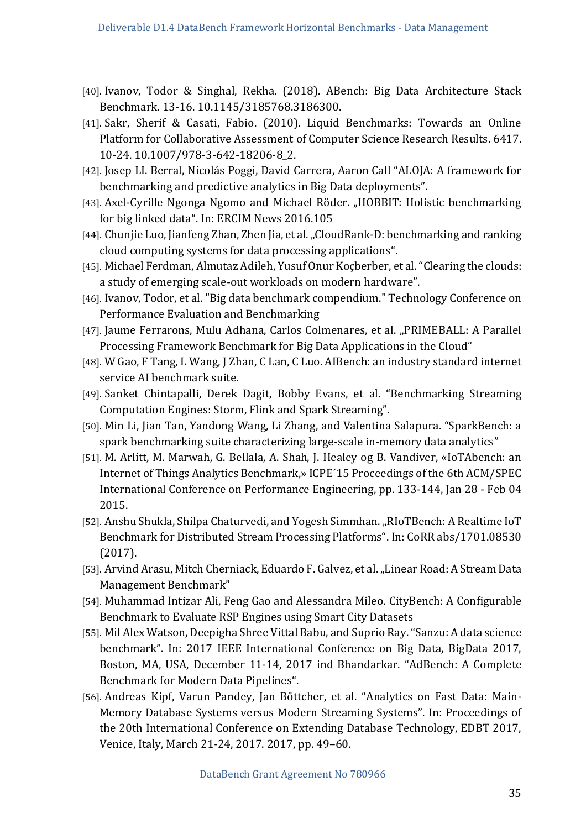- <span id="page-34-1"></span><span id="page-34-0"></span>[40]. Ivanov, Todor & Singhal, Rekha. (2018). ABench: Big Data Architecture Stack Benchmark. 13-16. 10.1145/3185768.3186300.
- [41]. Sakr, Sherif & Casati, Fabio. (2010). Liquid Benchmarks: Towards an Online Platform for Collaborative Assessment of Computer Science Research Results. 6417. 10-24. 10.1007/978-3-642-18206-8\_2.
- <span id="page-34-2"></span>[42]. Josep LI. Berral, Nicolás Poggi, David Carrera, Aaron Call "ALOJA: A framework for benchmarking and predictive analytics in Big Data deployments".
- [43]. Axel-Cyrille Ngonga Ngomo and Michael Röder. "HOBBIT: Holistic benchmarking for big linked data". In: ERCIM News 2016.105
- [44]. Chunjie Luo, Jianfeng Zhan, Zhen Jia, et al. "CloudRank-D: benchmarking and ranking cloud computing systems for data processing applications".
- [45]. Michael Ferdman, Almutaz Adileh, Yusuf Onur Koçberber, et al. "Clearing the clouds: a study of emerging scale-out workloads on modern hardware".
- [46]. Ivanov, Todor, et al. "Big data benchmark compendium." Technology Conference on Performance Evaluation and Benchmarking
- [47]. Jaume Ferrarons, Mulu Adhana, Carlos Colmenares, et al. "PRIMEBALL: A Parallel Processing Framework Benchmark for Big Data Applications in the Cloud"
- [48]. W Gao, F Tang, L Wang, J Zhan, C Lan, C Luo. AIBench: an industry standard internet service AI benchmark suite.
- [49]. Sanket Chintapalli, Derek Dagit, Bobby Evans, et al. "Benchmarking Streaming Computation Engines: Storm, Flink and Spark Streaming".
- [50]. Min Li, Jian Tan, Yandong Wang, Li Zhang, and Valentina Salapura. "SparkBench: a spark benchmarking suite characterizing large-scale in-memory data analytics"
- <span id="page-34-3"></span>[51]. M. Arlitt, M. Marwah, G. Bellala, A. Shah, J. Healey og B. Vandiver, «IoTAbench: an Internet of Things Analytics Benchmark,» ICPE´15 Proceedings of the 6th ACM/SPEC International Conference on Performance Engineering, pp. 133-144, Jan 28 - Feb 04 2015.
- [52]. Anshu Shukla, Shilpa Chaturvedi, and Yogesh Simmhan. "RIoTBench: A Realtime IoT Benchmark for Distributed Stream Processing Platforms". In: CoRR abs/1701.08530 (2017).
- [53]. Arvind Arasu, Mitch Cherniack, Eduardo F. Galvez, et al. "Linear Road: A Stream Data Management Benchmark"
- [54]. Muhammad Intizar Ali, Feng Gao and Alessandra Mileo. CityBench: A Configurable Benchmark to Evaluate RSP Engines using Smart City Datasets
- [55]. Mil Alex Watson, Deepigha Shree Vittal Babu, and Suprio Ray. "Sanzu: A data science benchmark". In: 2017 IEEE International Conference on Big Data, BigData 2017, Boston, MA, USA, December 11-14, 2017 ind Bhandarkar. "AdBench: A Complete Benchmark for Modern Data Pipelines".
- [56]. Andreas Kipf, Varun Pandey, Jan Böttcher, et al. "Analytics on Fast Data: Main-Memory Database Systems versus Modern Streaming Systems". In: Proceedings of the 20th International Conference on Extending Database Technology, EDBT 2017, Venice, Italy, March 21-24, 2017. 2017, pp. 49–60.